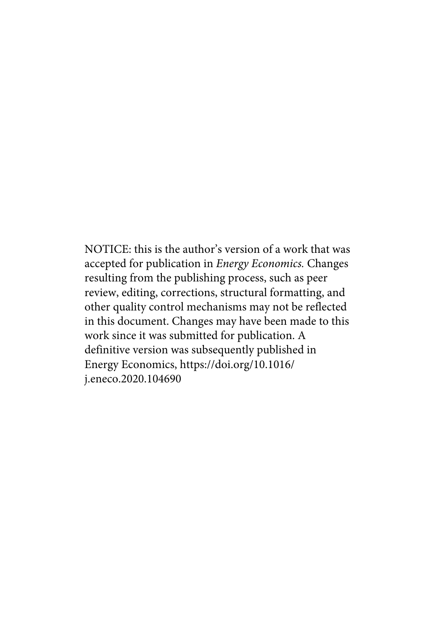NOTICE: this is the author's version of a work that was accepted for publication in *Energy Economics.* Changes resulting from the publishing process, such as peer review, editing, corrections, structural formatting, and other quality control mechanisms may not be reflected in this document. Changes may have been made to this work since it was submitted for publication. A definitive version was subsequently published in Energy Economics, https://doi.org/10.1016/ j.eneco.2020.104690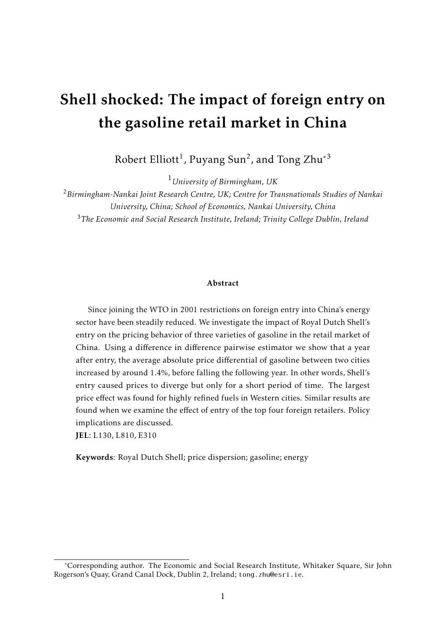# Shell shocked: The impact of foreign entry on the gasoline retail market in China

Robert Elliott $^1$ , Puyang Sun $^2$ , and Tong Zhu $^{\ast\,3}$ 

<sup>1</sup>*University of Birmingham, UK*

<sup>2</sup>*Birmingham-Nankai Joint Research Centre, UK; Centre for Transnationals Studies of Nankai University, China; School of Economics, Nankai University, China* <sup>3</sup>*The Economic and Social Research Institute, Ireland; Trinity College Dublin, Ireland*

#### Abstract

Since joining the WTO in 2001 restrictions on foreign entry into China's energy sector have been steadily reduced. We investigate the impact of Royal Dutch Shell's entry on the pricing behavior of three varieties of gasoline in the retail market of China. Using a difference in difference pairwise estimator we show that a year after entry, the average absolute price differential of gasoline between two cities increased by around 1.4%, before falling the following year. In other words, Shell's entry caused prices to diverge but only for a short period of time. The largest price effect was found for highly refined fuels in Western cities. Similar results are found when we examine the effect of entry of the top four foreign retailers. Policy implications are discussed.

JEL: L130, L810, E310

Keywords: Royal Dutch Shell; price dispersion; gasoline; energy

<sup>\*</sup>Corresponding author. The Economic and Social Research Institute, Whitaker Square, Sir John Rogerson's Quay, Grand Canal Dock, Dublin 2, Ireland; tong.zhu@esri.ie.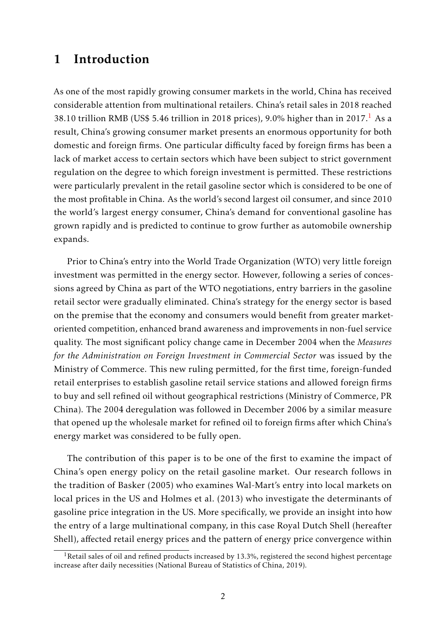### 1 Introduction

As one of the most rapidly growing consumer markets in the world, China has received considerable attention from multinational retailers. China's retail sales in 2018 reached 38.[1](#page-2-0)0 trillion RMB (US\$ 5.46 trillion in 2018 prices), 9.0% higher than in 2017. As a result, China's growing consumer market presents an enormous opportunity for both domestic and foreign firms. One particular difficulty faced by foreign firms has been a lack of market access to certain sectors which have been subject to strict government regulation on the degree to which foreign investment is permitted. These restrictions were particularly prevalent in the retail gasoline sector which is considered to be one of the most profitable in China. As the world's second largest oil consumer, and since 2010 the world's largest energy consumer, China's demand for conventional gasoline has grown rapidly and is predicted to continue to grow further as automobile ownership expands.

Prior to China's entry into the World Trade Organization (WTO) very little foreign investment was permitted in the energy sector. However, following a series of concessions agreed by China as part of the WTO negotiations, entry barriers in the gasoline retail sector were gradually eliminated. China's strategy for the energy sector is based on the premise that the economy and consumers would benefit from greater marketoriented competition, enhanced brand awareness and improvements in non-fuel service quality. The most significant policy change came in December 2004 when the *Measures for the Administration on Foreign Investment in Commercial Sector* was issued by the Ministry of Commerce. This new ruling permitted, for the first time, foreign-funded retail enterprises to establish gasoline retail service stations and allowed foreign firms to buy and sell refined oil without geographical restrictions (Ministry of Commerce, PR China). The 2004 deregulation was followed in December 2006 by a similar measure that opened up the wholesale market for refined oil to foreign firms after which China's energy market was considered to be fully open.

The contribution of this paper is to be one of the first to examine the impact of China's open energy policy on the retail gasoline market. Our research follows in the tradition of [Basker](#page-32-0) [\(2005\)](#page-32-0) who examines Wal-Mart's entry into local markets on local prices in the US and [Holmes et al.](#page-33-0) [\(2013\)](#page-33-0) who investigate the determinants of gasoline price integration in the US. More specifically, we provide an insight into how the entry of a large multinational company, in this case Royal Dutch Shell (hereafter Shell), affected retail energy prices and the pattern of energy price convergence within

<span id="page-2-0"></span><sup>&</sup>lt;sup>1</sup>Retail sales of oil and refined products increased by 13.3%, registered the second highest percentage increase after daily necessities (National Bureau of Statistics of China, 2019).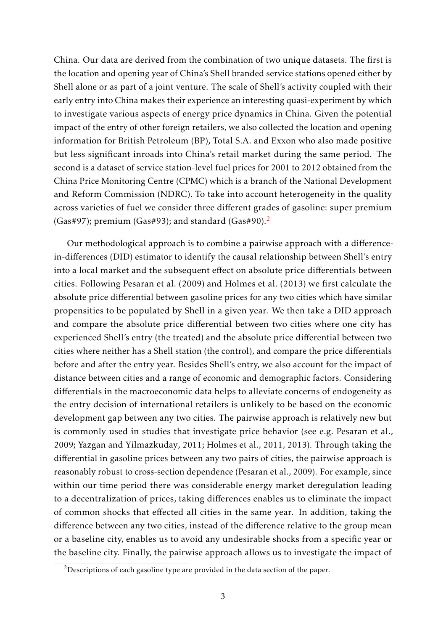China. Our data are derived from the combination of two unique datasets. The first is the location and opening year of China's Shell branded service stations opened either by Shell alone or as part of a joint venture. The scale of Shell's activity coupled with their early entry into China makes their experience an interesting quasi-experiment by which to investigate various aspects of energy price dynamics in China. Given the potential impact of the entry of other foreign retailers, we also collected the location and opening information for British Petroleum (BP), Total S.A. and Exxon who also made positive but less significant inroads into China's retail market during the same period. The second is a dataset of service station-level fuel prices for 2001 to 2012 obtained from the China Price Monitoring Centre (CPMC) which is a branch of the National Development and Reform Commission (NDRC). To take into account heterogeneity in the quality across varieties of fuel we consider three different grades of gasoline: super premium  $(Gas#97)$ ; premium  $(Gas#93)$ ; and standard  $(Gas#90).<sup>2</sup>$  $(Gas#90).<sup>2</sup>$  $(Gas#90).<sup>2</sup>$ 

Our methodological approach is to combine a pairwise approach with a differencein-differences (DID) estimator to identify the causal relationship between Shell's entry into a local market and the subsequent effect on absolute price differentials between cities. Following [Pesaran et al.](#page-34-0) [\(2009\)](#page-34-0) and [Holmes et al.](#page-33-0) [\(2013\)](#page-33-0) we first calculate the absolute price differential between gasoline prices for any two cities which have similar propensities to be populated by Shell in a given year. We then take a DID approach and compare the absolute price differential between two cities where one city has experienced Shell's entry (the treated) and the absolute price differential between two cities where neither has a Shell station (the control), and compare the price differentials before and after the entry year. Besides Shell's entry, we also account for the impact of distance between cities and a range of economic and demographic factors. Considering differentials in the macroeconomic data helps to alleviate concerns of endogeneity as the entry decision of international retailers is unlikely to be based on the economic development gap between any two cities. The pairwise approach is relatively new but is commonly used in studies that investigate price behavior (see e.g. [Pesaran et al.,](#page-34-0) [2009;](#page-34-0) [Yazgan and Yilmazkuday,](#page-35-0) [2011;](#page-35-0) [Holmes et al.,](#page-33-1) [2011,](#page-33-1) [2013\)](#page-33-0). Through taking the differential in gasoline prices between any two pairs of cities, the pairwise approach is reasonably robust to cross-section dependence [\(Pesaran et al.,](#page-34-0) [2009\)](#page-34-0). For example, since within our time period there was considerable energy market deregulation leading to a decentralization of prices, taking differences enables us to eliminate the impact of common shocks that effected all cities in the same year. In addition, taking the difference between any two cities, instead of the difference relative to the group mean or a baseline city, enables us to avoid any undesirable shocks from a specific year or the baseline city. Finally, the pairwise approach allows us to investigate the impact of

<span id="page-3-0"></span><sup>&</sup>lt;sup>2</sup>Descriptions of each gasoline type are provided in the data section of the paper.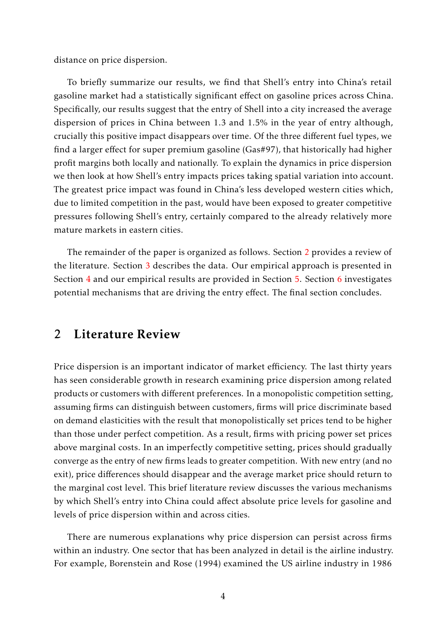distance on price dispersion.

To briefly summarize our results, we find that Shell's entry into China's retail gasoline market had a statistically significant effect on gasoline prices across China. Specifically, our results suggest that the entry of Shell into a city increased the average dispersion of prices in China between 1.3 and 1.5% in the year of entry although, crucially this positive impact disappears over time. Of the three different fuel types, we find a larger effect for super premium gasoline (Gas#97), that historically had higher profit margins both locally and nationally. To explain the dynamics in price dispersion we then look at how Shell's entry impacts prices taking spatial variation into account. The greatest price impact was found in China's less developed western cities which, due to limited competition in the past, would have been exposed to greater competitive pressures following Shell's entry, certainly compared to the already relatively more mature markets in eastern cities.

The remainder of the paper is organized as follows. Section [2](#page-4-0) provides a review of the literature. Section [3](#page-7-0) describes the data. Our empirical approach is presented in Section [4](#page-12-0) and our empirical results are provided in Section [5.](#page-16-0) Section [6](#page-19-0) investigates potential mechanisms that are driving the entry effect. The final section concludes.

### <span id="page-4-0"></span>2 Literature Review

Price dispersion is an important indicator of market efficiency. The last thirty years has seen considerable growth in research examining price dispersion among related products or customers with different preferences. In a monopolistic competition setting, assuming firms can distinguish between customers, firms will price discriminate based on demand elasticities with the result that monopolistically set prices tend to be higher than those under perfect competition. As a result, firms with pricing power set prices above marginal costs. In an imperfectly competitive setting, prices should gradually converge as the entry of new firms leads to greater competition. With new entry (and no exit), price differences should disappear and the average market price should return to the marginal cost level. This brief literature review discusses the various mechanisms by which Shell's entry into China could affect absolute price levels for gasoline and levels of price dispersion within and across cities.

There are numerous explanations why price dispersion can persist across firms within an industry. One sector that has been analyzed in detail is the airline industry. For example, [Borenstein and Rose](#page-32-1) [\(1994\)](#page-32-1) examined the US airline industry in 1986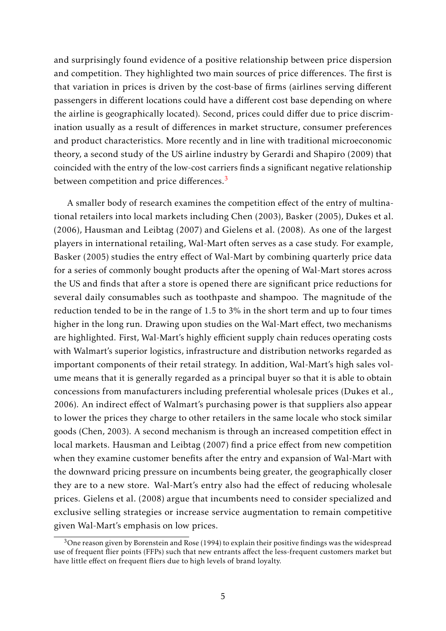and surprisingly found evidence of a positive relationship between price dispersion and competition. They highlighted two main sources of price differences. The first is that variation in prices is driven by the cost-base of firms (airlines serving different passengers in different locations could have a different cost base depending on where the airline is geographically located). Second, prices could differ due to price discrimination usually as a result of differences in market structure, consumer preferences and product characteristics. More recently and in line with traditional microeconomic theory, a second study of the US airline industry by [Gerardi and Shapiro](#page-33-2) [\(2009\)](#page-33-2) that coincided with the entry of the low-cost carriers finds a significant negative relationship between competition and price differences.<sup>[3](#page-5-0)</sup>

A smaller body of research examines the competition effect of the entry of multinational retailers into local markets including [Chen](#page-32-2) [\(2003\)](#page-32-2), [Basker](#page-32-0) [\(2005\)](#page-32-0), [Dukes et al.](#page-32-3) [\(2006\)](#page-32-3), [Hausman and Leibtag](#page-33-3) [\(2007\)](#page-33-3) and [Gielens et al.](#page-33-4) [\(2008\)](#page-33-4). As one of the largest players in international retailing, Wal-Mart often serves as a case study. For example, [Basker](#page-32-0) [\(2005\)](#page-32-0) studies the entry effect of Wal-Mart by combining quarterly price data for a series of commonly bought products after the opening of Wal-Mart stores across the US and finds that after a store is opened there are significant price reductions for several daily consumables such as toothpaste and shampoo. The magnitude of the reduction tended to be in the range of 1.5 to 3% in the short term and up to four times higher in the long run. Drawing upon studies on the Wal-Mart effect, two mechanisms are highlighted. First, Wal-Mart's highly efficient supply chain reduces operating costs with Walmart's superior logistics, infrastructure and distribution networks regarded as important components of their retail strategy. In addition, Wal-Mart's high sales volume means that it is generally regarded as a principal buyer so that it is able to obtain concessions from manufacturers including preferential wholesale prices [\(Dukes et al.,](#page-32-3) [2006\)](#page-32-3). An indirect effect of Walmart's purchasing power is that suppliers also appear to lower the prices they charge to other retailers in the same locale who stock similar goods [\(Chen,](#page-32-2) [2003\)](#page-32-2). A second mechanism is through an increased competition effect in local markets. [Hausman and Leibtag](#page-33-3) [\(2007\)](#page-33-3) find a price effect from new competition when they examine customer benefits after the entry and expansion of Wal-Mart with the downward pricing pressure on incumbents being greater, the geographically closer they are to a new store. Wal-Mart's entry also had the effect of reducing wholesale prices. [Gielens et al.](#page-33-4) [\(2008\)](#page-33-4) argue that incumbents need to consider specialized and exclusive selling strategies or increase service augmentation to remain competitive given Wal-Mart's emphasis on low prices.

<span id="page-5-0"></span><sup>&</sup>lt;sup>3</sup>One reason given by [Borenstein and Rose](#page-32-1) [\(1994\)](#page-32-1) to explain their positive findings was the widespread use of frequent flier points (FFPs) such that new entrants affect the less-frequent customers market but have little effect on frequent fliers due to high levels of brand loyalty.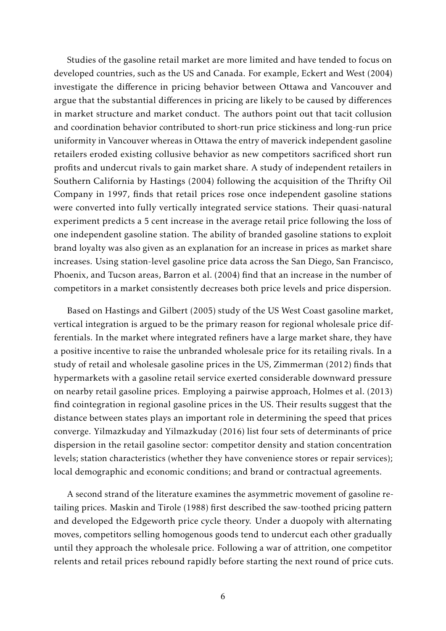Studies of the gasoline retail market are more limited and have tended to focus on developed countries, such as the US and Canada. For example, [Eckert and West](#page-32-4) [\(2004\)](#page-32-4) investigate the difference in pricing behavior between Ottawa and Vancouver and argue that the substantial differences in pricing are likely to be caused by differences in market structure and market conduct. The authors point out that tacit collusion and coordination behavior contributed to short-run price stickiness and long-run price uniformity in Vancouver whereas in Ottawa the entry of maverick independent gasoline retailers eroded existing collusive behavior as new competitors sacrificed short run profits and undercut rivals to gain market share. A study of independent retailers in Southern California by [Hastings](#page-33-5) [\(2004\)](#page-33-5) following the acquisition of the Thrifty Oil Company in 1997, finds that retail prices rose once independent gasoline stations were converted into fully vertically integrated service stations. Their quasi-natural experiment predicts a 5 cent increase in the average retail price following the loss of one independent gasoline station. The ability of branded gasoline stations to exploit brand loyalty was also given as an explanation for an increase in prices as market share increases. Using station-level gasoline price data across the San Diego, San Francisco, Phoenix, and Tucson areas, [Barron et al.](#page-32-5) [\(2004\)](#page-32-5) find that an increase in the number of competitors in a market consistently decreases both price levels and price dispersion.

Based on [Hastings and Gilbert](#page-33-6) [\(2005\)](#page-33-6) study of the US West Coast gasoline market, vertical integration is argued to be the primary reason for regional wholesale price differentials. In the market where integrated refiners have a large market share, they have a positive incentive to raise the unbranded wholesale price for its retailing rivals. In a study of retail and wholesale gasoline prices in the US, [Zimmerman](#page-35-1) [\(2012\)](#page-35-1) finds that hypermarkets with a gasoline retail service exerted considerable downward pressure on nearby retail gasoline prices. Employing a pairwise approach, [Holmes et al.](#page-33-0) [\(2013\)](#page-33-0) find cointegration in regional gasoline prices in the US. Their results suggest that the distance between states plays an important role in determining the speed that prices converge. [Yilmazkuday and Yilmazkuday](#page-35-2) [\(2016\)](#page-35-2) list four sets of determinants of price dispersion in the retail gasoline sector: competitor density and station concentration levels; station characteristics (whether they have convenience stores or repair services); local demographic and economic conditions; and brand or contractual agreements.

A second strand of the literature examines the asymmetric movement of gasoline retailing prices. [Maskin and Tirole](#page-34-1) [\(1988\)](#page-34-1) first described the saw-toothed pricing pattern and developed the Edgeworth price cycle theory. Under a duopoly with alternating moves, competitors selling homogenous goods tend to undercut each other gradually until they approach the wholesale price. Following a war of attrition, one competitor relents and retail prices rebound rapidly before starting the next round of price cuts.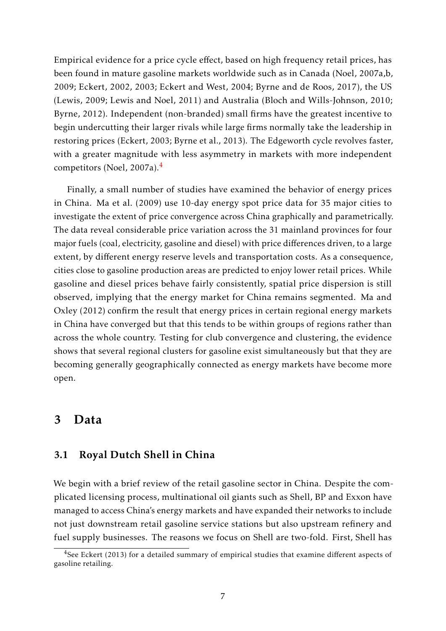Empirical evidence for a price cycle effect, based on high frequency retail prices, has been found in mature gasoline markets worldwide such as in Canada [\(Noel,](#page-34-2) [2007a,](#page-34-2)[b,](#page-34-3) [2009;](#page-34-4) [Eckert,](#page-32-6) [2002,](#page-32-6) [2003;](#page-32-7) [Eckert and West,](#page-32-4) [2004;](#page-32-4) [Byrne and de Roos,](#page-32-8) [2017\)](#page-32-8), the US [\(Lewis,](#page-33-7) [2009;](#page-33-7) [Lewis and Noel,](#page-33-8) [2011\)](#page-33-8) and Australia [\(Bloch and Wills-Johnson,](#page-32-9) [2010;](#page-32-9) [Byrne,](#page-32-10) [2012\)](#page-32-10). Independent (non-branded) small firms have the greatest incentive to begin undercutting their larger rivals while large firms normally take the leadership in restoring prices [\(Eckert,](#page-32-7) [2003;](#page-32-7) [Byrne et al.,](#page-32-11) [2013\)](#page-32-11). The Edgeworth cycle revolves faster, with a greater magnitude with less asymmetry in markets with more independent competitors [\(Noel,](#page-34-2) [2007a\)](#page-34-2).[4](#page-7-1)

Finally, a small number of studies have examined the behavior of energy prices in China. [Ma et al.](#page-34-5) [\(2009\)](#page-34-5) use 10-day energy spot price data for 35 major cities to investigate the extent of price convergence across China graphically and parametrically. The data reveal considerable price variation across the 31 mainland provinces for four major fuels (coal, electricity, gasoline and diesel) with price differences driven, to a large extent, by different energy reserve levels and transportation costs. As a consequence, cities close to gasoline production areas are predicted to enjoy lower retail prices. While gasoline and diesel prices behave fairly consistently, spatial price dispersion is still observed, implying that the energy market for China remains segmented. [Ma and](#page-33-9) [Oxley](#page-33-9) [\(2012\)](#page-33-9) confirm the result that energy prices in certain regional energy markets in China have converged but that this tends to be within groups of regions rather than across the whole country. Testing for club convergence and clustering, the evidence shows that several regional clusters for gasoline exist simultaneously but that they are becoming generally geographically connected as energy markets have become more open.

### <span id="page-7-0"></span>3 Data

#### 3.1 Royal Dutch Shell in China

We begin with a brief review of the retail gasoline sector in China. Despite the complicated licensing process, multinational oil giants such as Shell, BP and Exxon have managed to access China's energy markets and have expanded their networks to include not just downstream retail gasoline service stations but also upstream refinery and fuel supply businesses. The reasons we focus on Shell are two-fold. First, Shell has

<span id="page-7-1"></span><sup>&</sup>lt;sup>4</sup>See [Eckert](#page-32-12) [\(2013\)](#page-32-12) for a detailed summary of empirical studies that examine different aspects of gasoline retailing.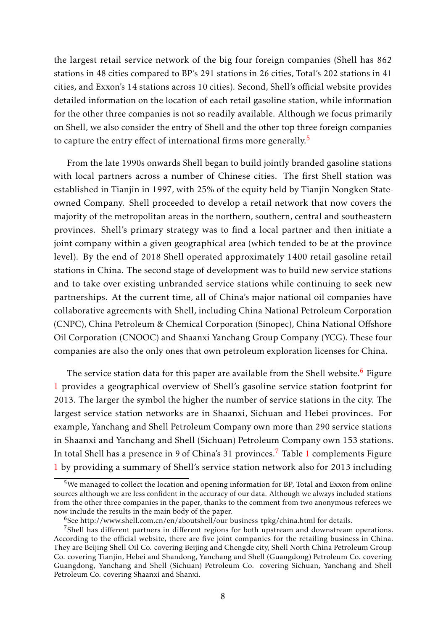the largest retail service network of the big four foreign companies (Shell has 862 stations in 48 cities compared to BP's 291 stations in 26 cities, Total's 202 stations in 41 cities, and Exxon's 14 stations across 10 cities). Second, Shell's official website provides detailed information on the location of each retail gasoline station, while information for the other three companies is not so readily available. Although we focus primarily on Shell, we also consider the entry of Shell and the other top three foreign companies to capture the entry effect of international firms more generally.<sup>[5](#page-8-0)</sup>

From the late 1990s onwards Shell began to build jointly branded gasoline stations with local partners across a number of Chinese cities. The first Shell station was established in Tianjin in 1997, with 25% of the equity held by Tianjin Nongken Stateowned Company. Shell proceeded to develop a retail network that now covers the majority of the metropolitan areas in the northern, southern, central and southeastern provinces. Shell's primary strategy was to find a local partner and then initiate a joint company within a given geographical area (which tended to be at the province level). By the end of 2018 Shell operated approximately 1400 retail gasoline retail stations in China. The second stage of development was to build new service stations and to take over existing unbranded service stations while continuing to seek new partnerships. At the current time, all of China's major national oil companies have collaborative agreements with Shell, including China National Petroleum Corporation (CNPC), China Petroleum & Chemical Corporation (Sinopec), China National Offshore Oil Corporation (CNOOC) and Shaanxi Yanchang Group Company (YCG). These four companies are also the only ones that own petroleum exploration licenses for China.

The service station data for this paper are available from the Shell website.<sup>[6](#page-8-1)</sup> Figure [1](#page-23-0) provides a geographical overview of Shell's gasoline service station footprint for 2013. The larger the symbol the higher the number of service stations in the city. The largest service station networks are in Shaanxi, Sichuan and Hebei provinces. For example, Yanchang and Shell Petroleum Company own more than 290 service stations in Shaanxi and Yanchang and Shell (Sichuan) Petroleum Company own 153 stations. In total Shell has a presence in 9 of China's 31 provinces.<sup>[7](#page-8-2)</sup> Table [1](#page-26-0) complements Figure [1](#page-23-0) by providing a summary of Shell's service station network also for 2013 including

<span id="page-8-0"></span><sup>&</sup>lt;sup>5</sup>We managed to collect the location and opening information for BP, Total and Exxon from online sources although we are less confident in the accuracy of our data. Although we always included stations from the other three companies in the paper, thanks to the comment from two anonymous referees we now include the results in the main body of the paper.

<span id="page-8-2"></span><span id="page-8-1"></span><sup>6</sup>See http://www.shell.com.cn/en/aboutshell/our-business-tpkg/china.html for details.

<sup>&</sup>lt;sup>7</sup>Shell has different partners in different regions for both upstream and downstream operations. According to the official website, there are five joint companies for the retailing business in China. They are Beijing Shell Oil Co. covering Beijing and Chengde city, Shell North China Petroleum Group Co. covering Tianjin, Hebei and Shandong, Yanchang and Shell (Guangdong) Petroleum Co. covering Guangdong, Yanchang and Shell (Sichuan) Petroleum Co. covering Sichuan, Yanchang and Shell Petroleum Co. covering Shaanxi and Shanxi.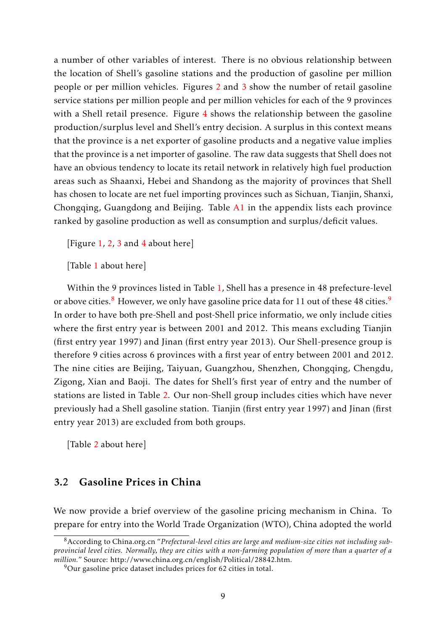a number of other variables of interest. There is no obvious relationship between the location of Shell's gasoline stations and the production of gasoline per million people or per million vehicles. Figures [2](#page-24-0) and [3](#page-24-1) show the number of retail gasoline service stations per million people and per million vehicles for each of the 9 provinces with a Shell retail presence. Figure [4](#page-25-0) shows the relationship between the gasoline production/surplus level and Shell's entry decision. A surplus in this context means that the province is a net exporter of gasoline products and a negative value implies that the province is a net importer of gasoline. The raw data suggests that Shell does not have an obvious tendency to locate its retail network in relatively high fuel production areas such as Shaanxi, Hebei and Shandong as the majority of provinces that Shell has chosen to locate are net fuel importing provinces such as Sichuan, Tianjin, Shanxi, Chongqing, Guangdong and Beijing. Table [A1](#page-37-0) in the appendix lists each province ranked by gasoline production as well as consumption and surplus/deficit values.

[Figure [1,](#page-23-0) [2,](#page-24-0) [3](#page-24-1) and [4](#page-25-0) about here]

[Table [1](#page-26-0) about here]

Within the 9 provinces listed in Table [1,](#page-26-0) Shell has a presence in 48 prefecture-level or above cities.<sup>[8](#page-9-0)</sup> However, we only have gasoline price data for 11 out of these 48 cities.<sup>[9](#page-9-1)</sup> In order to have both pre-Shell and post-Shell price informatio, we only include cities where the first entry year is between 2001 and 2012. This means excluding Tianjin (first entry year 1997) and Jinan (first entry year 2013). Our Shell-presence group is therefore 9 cities across 6 provinces with a first year of entry between 2001 and 2012. The nine cities are Beijing, Taiyuan, Guangzhou, Shenzhen, Chongqing, Chengdu, Zigong, Xian and Baoji. The dates for Shell's first year of entry and the number of stations are listed in Table [2.](#page-27-0) Our non-Shell group includes cities which have never previously had a Shell gasoline station. Tianjin (first entry year 1997) and Jinan (first entry year 2013) are excluded from both groups.

[Table [2](#page-27-0) about here]

#### 3.2 Gasoline Prices in China

We now provide a brief overview of the gasoline pricing mechanism in China. To prepare for entry into the World Trade Organization (WTO), China adopted the world

<span id="page-9-0"></span><sup>8</sup>According to China.org.cn "*Prefectural-level cities are large and medium-size cities not including subprovincial level cities. Normally, they are cities with a non-farming population of more than a quarter of a million.*" Source: http://www.china.org.cn/english/Political/28842.htm.

<span id="page-9-1"></span> $9$ Our gasoline price dataset includes prices for 62 cities in total.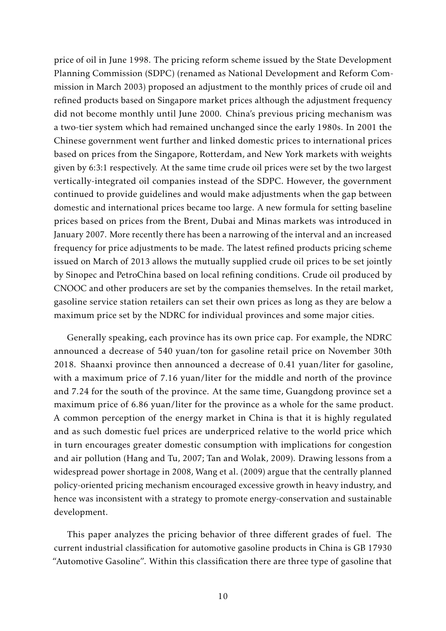price of oil in June 1998. The pricing reform scheme issued by the State Development Planning Commission (SDPC) (renamed as National Development and Reform Commission in March 2003) proposed an adjustment to the monthly prices of crude oil and refined products based on Singapore market prices although the adjustment frequency did not become monthly until June 2000. China's previous pricing mechanism was a two-tier system which had remained unchanged since the early 1980s. In 2001 the Chinese government went further and linked domestic prices to international prices based on prices from the Singapore, Rotterdam, and New York markets with weights given by 6:3:1 respectively. At the same time crude oil prices were set by the two largest vertically-integrated oil companies instead of the SDPC. However, the government continued to provide guidelines and would make adjustments when the gap between domestic and international prices became too large. A new formula for setting baseline prices based on prices from the Brent, Dubai and Minas markets was introduced in January 2007. More recently there has been a narrowing of the interval and an increased frequency for price adjustments to be made. The latest refined products pricing scheme issued on March of 2013 allows the mutually supplied crude oil prices to be set jointly by Sinopec and PetroChina based on local refining conditions. Crude oil produced by CNOOC and other producers are set by the companies themselves. In the retail market, gasoline service station retailers can set their own prices as long as they are below a maximum price set by the NDRC for individual provinces and some major cities.

Generally speaking, each province has its own price cap. For example, the NDRC announced a decrease of 540 yuan/ton for gasoline retail price on November 30th 2018. Shaanxi province then announced a decrease of 0.41 yuan/liter for gasoline, with a maximum price of 7.16 yuan/liter for the middle and north of the province and 7.24 for the south of the province. At the same time, Guangdong province set a maximum price of 6.86 yuan/liter for the province as a whole for the same product. A common perception of the energy market in China is that it is highly regulated and as such domestic fuel prices are underpriced relative to the world price which in turn encourages greater domestic consumption with implications for congestion and air pollution [\(Hang and Tu,](#page-33-10) [2007;](#page-33-10) [Tan and Wolak,](#page-34-6) [2009\)](#page-34-6). Drawing lessons from a widespread power shortage in 2008, [Wang et al.](#page-34-7) [\(2009\)](#page-34-7) argue that the centrally planned policy-oriented pricing mechanism encouraged excessive growth in heavy industry, and hence was inconsistent with a strategy to promote energy-conservation and sustainable development.

This paper analyzes the pricing behavior of three different grades of fuel. The current industrial classification for automotive gasoline products in China is GB 17930 "Automotive Gasoline". Within this classification there are three type of gasoline that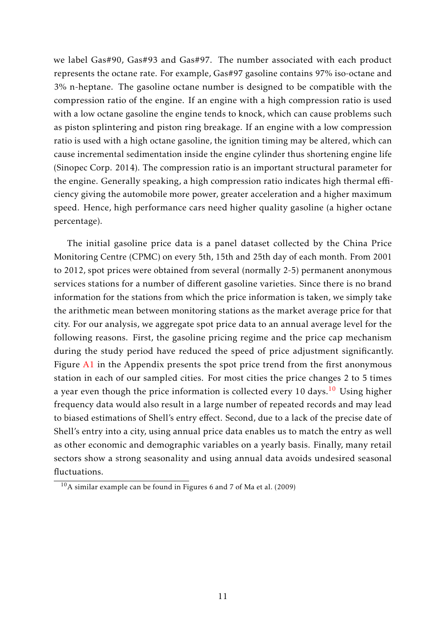we label Gas#90, Gas#93 and Gas#97. The number associated with each product represents the octane rate. For example, Gas#97 gasoline contains 97% iso-octane and 3% n-heptane. The gasoline octane number is designed to be compatible with the compression ratio of the engine. If an engine with a high compression ratio is used with a low octane gasoline the engine tends to knock, which can cause problems such as piston splintering and piston ring breakage. If an engine with a low compression ratio is used with a high octane gasoline, the ignition timing may be altered, which can cause incremental sedimentation inside the engine cylinder thus shortening engine life (Sinopec Corp. 2014). The compression ratio is an important structural parameter for the engine. Generally speaking, a high compression ratio indicates high thermal efficiency giving the automobile more power, greater acceleration and a higher maximum speed. Hence, high performance cars need higher quality gasoline (a higher octane percentage).

The initial gasoline price data is a panel dataset collected by the China Price Monitoring Centre (CPMC) on every 5th, 15th and 25th day of each month. From 2001 to 2012, spot prices were obtained from several (normally 2-5) permanent anonymous services stations for a number of different gasoline varieties. Since there is no brand information for the stations from which the price information is taken, we simply take the arithmetic mean between monitoring stations as the market average price for that city. For our analysis, we aggregate spot price data to an annual average level for the following reasons. First, the gasoline pricing regime and the price cap mechanism during the study period have reduced the speed of price adjustment significantly. Figure [A1](#page-36-0) in the Appendix presents the spot price trend from the first anonymous station in each of our sampled cities. For most cities the price changes 2 to 5 times a year even though the price information is collected every [10](#page-11-0) days.<sup>10</sup> Using higher frequency data would also result in a large number of repeated records and may lead to biased estimations of Shell's entry effect. Second, due to a lack of the precise date of Shell's entry into a city, using annual price data enables us to match the entry as well as other economic and demographic variables on a yearly basis. Finally, many retail sectors show a strong seasonality and using annual data avoids undesired seasonal fluctuations.

<span id="page-11-0"></span> $10A$  similar example can be found in Figures 6 and 7 of [Ma et al.](#page-34-5) [\(2009\)](#page-34-5)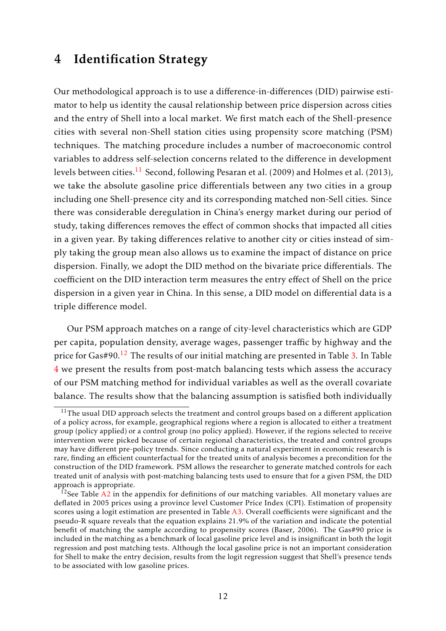### <span id="page-12-0"></span>4 Identification Strategy

Our methodological approach is to use a difference-in-differences (DID) pairwise estimator to help us identity the causal relationship between price dispersion across cities and the entry of Shell into a local market. We first match each of the Shell-presence cities with several non-Shell station cities using propensity score matching (PSM) techniques. The matching procedure includes a number of macroeconomic control variables to address self-selection concerns related to the difference in development levels between cities.<sup>[11](#page-12-1)</sup> Second, following [Pesaran et al.](#page-34-0) [\(2009\)](#page-34-0) and [Holmes et al.](#page-33-0) [\(2013\)](#page-33-0), we take the absolute gasoline price differentials between any two cities in a group including one Shell-presence city and its corresponding matched non-Sell cities. Since there was considerable deregulation in China's energy market during our period of study, taking differences removes the effect of common shocks that impacted all cities in a given year. By taking differences relative to another city or cities instead of simply taking the group mean also allows us to examine the impact of distance on price dispersion. Finally, we adopt the DID method on the bivariate price differentials. The coefficient on the DID interaction term measures the entry effect of Shell on the price dispersion in a given year in China. In this sense, a DID model on differential data is a triple difference model.

Our PSM approach matches on a range of city-level characteristics which are GDP per capita, population density, average wages, passenger traffic by highway and the price for  $\text{Gas#90.}^{12}$  $\text{Gas#90.}^{12}$  $\text{Gas#90.}^{12}$  The results of our initial matching are presented in Table [3.](#page-27-1) In Table [4](#page-28-0) we present the results from post-match balancing tests which assess the accuracy of our PSM matching method for individual variables as well as the overall covariate balance. The results show that the balancing assumption is satisfied both individually

<span id="page-12-1"></span> $11$ The usual DID approach selects the treatment and control groups based on a different application of a policy across, for example, geographical regions where a region is allocated to either a treatment group (policy applied) or a control group (no policy applied). However, if the regions selected to receive intervention were picked because of certain regional characteristics, the treated and control groups may have different pre-policy trends. Since conducting a natural experiment in economic research is rare, finding an efficient counterfactual for the treated units of analysis becomes a precondition for the construction of the DID framework. PSM allows the researcher to generate matched controls for each treated unit of analysis with post-matching balancing tests used to ensure that for a given PSM, the DID approach is appropriate.

<span id="page-12-2"></span> $12$ See Table [A2](#page-37-1) in the appendix for definitions of our matching variables. All monetary values are deflated in 2005 prices using a province level Customer Price Index (CPI). Estimation of propensity scores using a logit estimation are presented in Table [A3.](#page-38-0) Overall coefficients were significant and the pseudo-R square reveals that the equation explains 21.9% of the variation and indicate the potential benefit of matching the sample according to propensity scores [\(Baser,](#page-32-13) [2006\)](#page-32-13). The Gas#90 price is included in the matching as a benchmark of local gasoline price level and is insignificant in both the logit regression and post matching tests. Although the local gasoline price is not an important consideration for Shell to make the entry decision, results from the logit regression suggest that Shell's presence tends to be associated with low gasoline prices.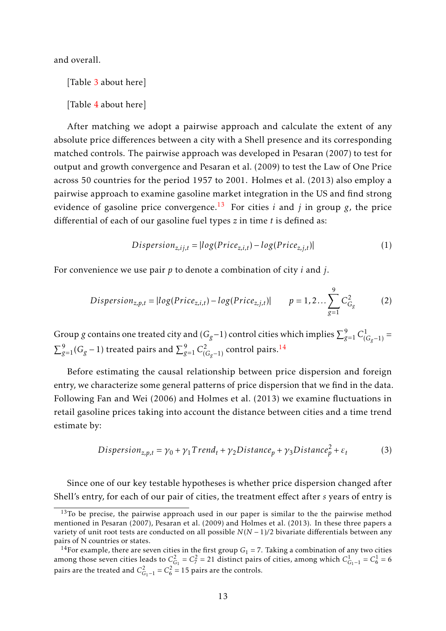and overall.

[Table [3](#page-27-1) about here]

[Table [4](#page-28-0) about here]

After matching we adopt a pairwise approach and calculate the extent of any absolute price differences between a city with a Shell presence and its corresponding matched controls. The pairwise approach was developed in [Pesaran](#page-34-8) [\(2007\)](#page-34-8) to test for output and growth convergence and [Pesaran et al.](#page-34-0) [\(2009\)](#page-34-0) to test the Law of One Price across 50 countries for the period 1957 to 2001. [Holmes et al.](#page-33-0) [\(2013\)](#page-33-0) also employ a pairwise approach to examine gasoline market integration in the US and find strong evidence of gasoline price convergence.<sup>[13](#page-13-0)</sup> For cities *i* and *j* in group *g*, the price differential of each of our gasoline fuel types *z* in time *t* is defined as:

$$
Disperson_{z,ij,t} = |log(Price_{z,i,t}) - log(Price_{z,j,t})|
$$
\n(1)

For convenience we use pair *p* to denote a combination of city *i* and *j*.

$$
Dispersion_{z,p,t} = |log(Price_{z,i,t}) - log(Price_{z,j,t})|
$$
  
  $p = 1, 2... \sum_{g=1}^{9} C_{G_g}^2$  (2)

Group  $g$  contains one treated city and ( $G_g-1$ ) control cities which implies  $\sum_{g=1}^9 C_{(G_g-1)}^1 =$  $\sum_{g=1}^{9}$  (*G*<sub>*g*</sub>−1) treated pairs and  $\sum_{g=1}^{9}$  *C*<sup>2</sup><sub>(*G*<sub>*g*</sub>−1)</sub> control pairs.<sup>[14](#page-13-1)</sup>

Before estimating the causal relationship between price dispersion and foreign entry, we characterize some general patterns of price dispersion that we find in the data. Following [Fan and Wei](#page-32-14) [\(2006\)](#page-32-14) and [Holmes et al.](#page-33-0) [\(2013\)](#page-33-0) we examine fluctuations in retail gasoline prices taking into account the distance between cities and a time trend estimate by:

$$
Disperson_{z,p,t} = \gamma_0 + \gamma_1 Trend_t + \gamma_2 Distance_p + \gamma_3 Distance_p^2 + \varepsilon_t
$$
 (3)

Since one of our key testable hypotheses is whether price dispersion changed after Shell's entry, for each of our pair of cities, the treatment effect after *s* years of entry is

<span id="page-13-0"></span><sup>&</sup>lt;sup>13</sup>To be precise, the pairwise approach used in our paper is similar to the the pairwise method mentioned in [Pesaran](#page-34-8) [\(2007\)](#page-34-8), [Pesaran et al.](#page-34-0) [\(2009\)](#page-34-0) and [Holmes et al.](#page-33-0) [\(2013\)](#page-33-0). In these three papers a variety of unit root tests are conducted on all possible *N*(*N* − 1)*/*2 bivariate differentials between any pairs of N countries or states.

<span id="page-13-1"></span><sup>&</sup>lt;sup>14</sup>For example, there are seven cities in the first group  $G_1 = 7$ . Taking a combination of any two cities among those seven cities leads to  $C_{G_1}^2 = C_7^2 = 21$  distinct pairs of cities, among which  $C_{G_1-1}^1 = C_6^1 = 6$ pairs are the treated and  $C_{G_1-1}^2 = C_6^2 = 15$  pairs are the controls.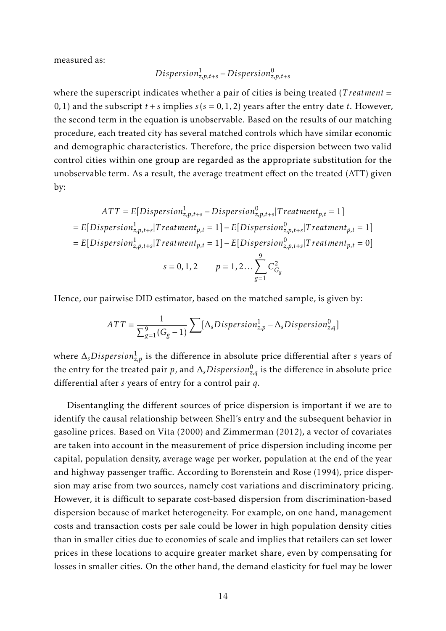measured as:

$$
Dispersion_{z,p,t+s}^{1} - Dispersion_{z,p,t+s}^{0}
$$

where the superscript indicates whether a pair of cities is being treated (*T reatment* = 0, 1) and the subscript  $t + s$  implies  $s(s = 0, 1, 2)$  years after the entry date  $t$ . However, the second term in the equation is unobservable. Based on the results of our matching procedure, each treated city has several matched controls which have similar economic and demographic characteristics. Therefore, the price dispersion between two valid control cities within one group are regarded as the appropriate substitution for the unobservable term. As a result, the average treatment effect on the treated (ATT) given by:

$$
ATT = E[Dis \text{person}^{1}_{z,p,t+s} - Dis \text{person}^{0}_{z,p,t+s} | T \text{reatment}_{p,t} = 1]
$$
\n
$$
= E[Dis \text{person}^{1}_{z,p,t+s} | T \text{reatment}_{p,t} = 1] - E[Dis \text{person}^{0}_{z,p,t+s} | T \text{reatment}_{p,t} = 1]
$$
\n
$$
= E[Dis \text{person}^{1}_{z,p,t+s} | T \text{reatment}_{p,t} = 1] - E[Dis \text{person}^{0}_{z,p,t+s} | T \text{reatment}_{p,t} = 0]
$$
\n
$$
s = 0, 1, 2 \qquad p = 1, 2 \dots \sum_{g=1}^{9} C_{G_g}^2
$$

Hence, our pairwise DID estimator, based on the matched sample, is given by:

$$
ATT = \frac{1}{\sum_{g=1}^{9} (G_g - 1)} \sum [\Delta_s Dispression_{z,p}^1 - \Delta_s Dispression_{z,q}^0]
$$

where  $\Delta_{s}Disperson_{z,p}^{1}$  is the difference in absolute price differential after *s* years of the entry for the treated pair  $p$ , and  $\Delta_{s}Dispersion_{z,q}^{0}$  is the difference in absolute price differential after *s* years of entry for a control pair *q*.

Disentangling the different sources of price dispersion is important if we are to identify the causal relationship between Shell's entry and the subsequent behavior in gasoline prices. Based on [Vita](#page-34-9) [\(2000\)](#page-34-9) and [Zimmerman](#page-35-1) [\(2012\)](#page-35-1), a vector of covariates are taken into account in the measurement of price dispersion including income per capital, population density, average wage per worker, population at the end of the year and highway passenger traffic. According to [Borenstein and Rose](#page-32-1) [\(1994\)](#page-32-1), price dispersion may arise from two sources, namely cost variations and discriminatory pricing. However, it is difficult to separate cost-based dispersion from discrimination-based dispersion because of market heterogeneity. For example, on one hand, management costs and transaction costs per sale could be lower in high population density cities than in smaller cities due to economies of scale and implies that retailers can set lower prices in these locations to acquire greater market share, even by compensating for losses in smaller cities. On the other hand, the demand elasticity for fuel may be lower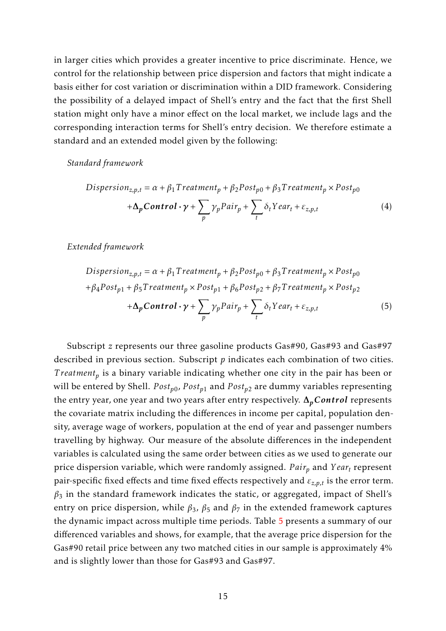in larger cities which provides a greater incentive to price discriminate. Hence, we control for the relationship between price dispersion and factors that might indicate a basis either for cost variation or discrimination within a DID framework. Considering the possibility of a delayed impact of Shell's entry and the fact that the first Shell station might only have a minor effect on the local market, we include lags and the corresponding interaction terms for Shell's entry decision. We therefore estimate a standard and an extended model given by the following:

#### *Standard framework*

<span id="page-15-0"></span>
$$
Dispersion_{z,p,t} = \alpha + \beta_1 Treatment_p + \beta_2 Post_{p0} + \beta_3 Treatment_p \times Post_{p0}
$$

$$
+ \Delta_p Control \cdot \gamma + \sum_p \gamma_p Pair_p + \sum_t \delta_t Year_t + \varepsilon_{z,p,t}
$$
(4)

*Extended framework*

<span id="page-15-1"></span>
$$
Dispersion_{z,p,t} = \alpha + \beta_1 Treatment_p + \beta_2 Post_{p0} + \beta_3 Treatment_p \times Post_{p0}
$$
  
+ $\beta_4 Post_{p1} + \beta_5 Treatment_p \times Post_{p1} + \beta_6 Post_{p2} + \beta_7 Treatment_p \times Post_{p2}$   
+ $\Delta_p Control \cdot \gamma + \sum_p \gamma_p Pair_p + \sum_t \delta_t Year_t + \varepsilon_{z,p,t}$  (5)

Subscript *z* represents our three gasoline products Gas#90, Gas#93 and Gas#97 described in previous section. Subscript *p* indicates each combination of two cities. *Treatment<sub>p</sub>* is a binary variable indicating whether one city in the pair has been or will be entered by Shell. *P ostp*<sup>0</sup> , *P ostp*<sup>1</sup> and *P ostp*<sup>2</sup> are dummy variables representing the entry year, one year and two years after entry respectively. ∆*pControl* represents the covariate matrix including the differences in income per capital, population density, average wage of workers, population at the end of year and passenger numbers travelling by highway. Our measure of the absolute differences in the independent variables is calculated using the same order between cities as we used to generate our price dispersion variable, which were randomly assigned. *P air<sup>p</sup>* and *Y ear<sup>t</sup>* represent pair-specific fixed effects and time fixed effects respectively and *εz,p,t* is the error term.  $\beta_3$  in the standard framework indicates the static, or aggregated, impact of Shell's entry on price dispersion, while  $\beta_3$ ,  $\beta_5$  and  $\beta_7$  in the extended framework captures the dynamic impact across multiple time periods. Table [5](#page-28-1) presents a summary of our differenced variables and shows, for example, that the average price dispersion for the Gas#90 retail price between any two matched cities in our sample is approximately 4% and is slightly lower than those for Gas#93 and Gas#97.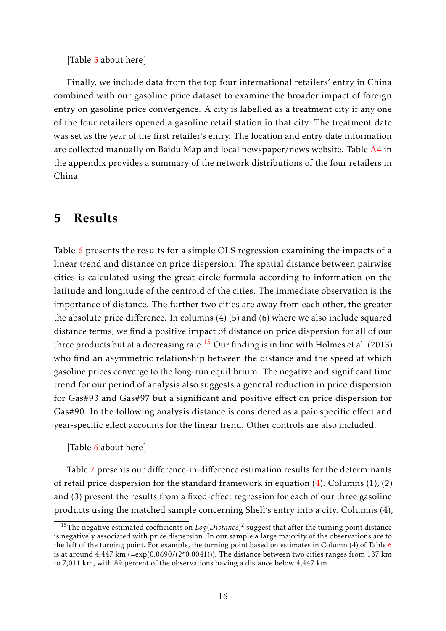[Table [5](#page-28-1) about here]

Finally, we include data from the top four international retailers' entry in China combined with our gasoline price dataset to examine the broader impact of foreign entry on gasoline price convergence. A city is labelled as a treatment city if any one of the four retailers opened a gasoline retail station in that city. The treatment date was set as the year of the first retailer's entry. The location and entry date information are collected manually on Baidu Map and local newspaper/news website. Table [A4](#page-38-1) in the appendix provides a summary of the network distributions of the four retailers in China.

### <span id="page-16-0"></span>5 Results

Table [6](#page-29-0) presents the results for a simple OLS regression examining the impacts of a linear trend and distance on price dispersion. The spatial distance between pairwise cities is calculated using the great circle formula according to information on the latitude and longitude of the centroid of the cities. The immediate observation is the importance of distance. The further two cities are away from each other, the greater the absolute price difference. In columns (4) (5) and (6) where we also include squared distance terms, we find a positive impact of distance on price dispersion for all of our three products but at a decreasing rate.<sup>[15](#page-16-1)</sup> Our finding is in line with [Holmes et al.](#page-33-0) [\(2013\)](#page-33-0) who find an asymmetric relationship between the distance and the speed at which gasoline prices converge to the long-run equilibrium. The negative and significant time trend for our period of analysis also suggests a general reduction in price dispersion for Gas#93 and Gas#97 but a significant and positive effect on price dispersion for Gas#90. In the following analysis distance is considered as a pair-specific effect and year-specific effect accounts for the linear trend. Other controls are also included.

[Table [6](#page-29-0) about here]

Table [7](#page-29-1) presents our difference-in-difference estimation results for the determinants of retail price dispersion for the standard framework in equation  $(4)$ . Columns  $(1)$ ,  $(2)$ and (3) present the results from a fixed-effect regression for each of our three gasoline products using the matched sample concerning Shell's entry into a city. Columns (4),

<span id="page-16-1"></span><sup>15</sup>The negative estimated coefficients on *Log*(*Distance*) 2 suggest that after the turning point distance is negatively associated with price dispersion. In our sample a large majority of the observations are to the left of the turning point. For example, the turning point based on estimates in Column (4) of Table [6](#page-29-0) is at around  $4,447 \text{ km } (= \exp(0.0690/(2*0.0041)))$ . The distance between two cities ranges from 137 km to 7,011 km, with 89 percent of the observations having a distance below 4,447 km.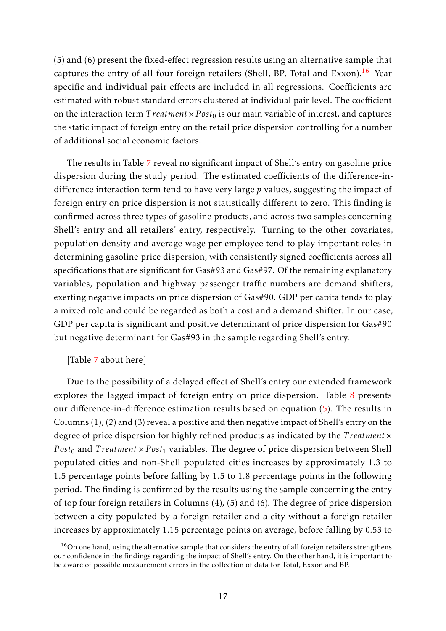(5) and (6) present the fixed-effect regression results using an alternative sample that captures the entry of all four foreign retailers (Shell, BP, Total and Exxon).<sup>[16](#page-17-0)</sup> Year specific and individual pair effects are included in all regressions. Coefficients are estimated with robust standard errors clustered at individual pair level. The coefficient on the interaction term  $Treatment \times Post_0$  is our main variable of interest, and captures the static impact of foreign entry on the retail price dispersion controlling for a number of additional social economic factors.

The results in Table [7](#page-29-1) reveal no significant impact of Shell's entry on gasoline price dispersion during the study period. The estimated coefficients of the difference-indifference interaction term tend to have very large *p* values, suggesting the impact of foreign entry on price dispersion is not statistically different to zero. This finding is confirmed across three types of gasoline products, and across two samples concerning Shell's entry and all retailers' entry, respectively. Turning to the other covariates, population density and average wage per employee tend to play important roles in determining gasoline price dispersion, with consistently signed coefficients across all specifications that are significant for Gas#93 and Gas#97. Of the remaining explanatory variables, population and highway passenger traffic numbers are demand shifters, exerting negative impacts on price dispersion of Gas#90. GDP per capita tends to play a mixed role and could be regarded as both a cost and a demand shifter. In our case, GDP per capita is significant and positive determinant of price dispersion for Gas#90 but negative determinant for Gas#93 in the sample regarding Shell's entry.

[Table [7](#page-29-1) about here]

Due to the possibility of a delayed effect of Shell's entry our extended framework explores the lagged impact of foreign entry on price dispersion. Table [8](#page-30-0) presents our difference-in-difference estimation results based on equation [\(5\)](#page-15-1). The results in Columns (1), (2) and (3) reveal a positive and then negative impact of Shell's entry on the degree of price dispersion for highly refined products as indicated by the *T reatment* × *Post*<sub>0</sub> and *T* reatment  $\times$  *Post*<sub>1</sub> variables. The degree of price dispersion between Shell populated cities and non-Shell populated cities increases by approximately 1.3 to 1.5 percentage points before falling by 1.5 to 1.8 percentage points in the following period. The finding is confirmed by the results using the sample concerning the entry of top four foreign retailers in Columns (4), (5) and (6). The degree of price dispersion between a city populated by a foreign retailer and a city without a foreign retailer increases by approximately 1.15 percentage points on average, before falling by 0.53 to

<span id="page-17-0"></span><sup>&</sup>lt;sup>16</sup>On one hand, using the alternative sample that considers the entry of all foreign retailers strengthens our confidence in the findings regarding the impact of Shell's entry. On the other hand, it is important to be aware of possible measurement errors in the collection of data for Total, Exxon and BP.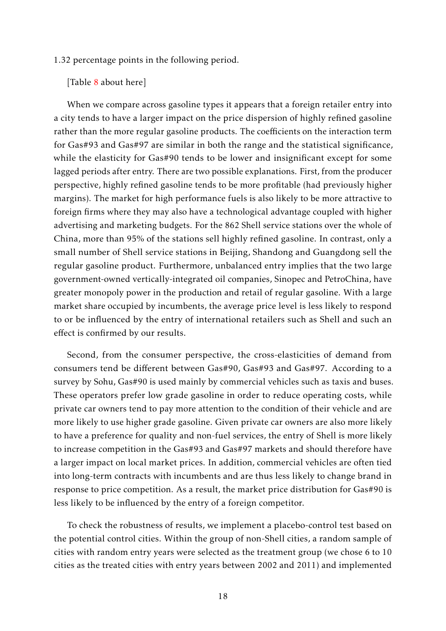1.32 percentage points in the following period.

[Table [8](#page-30-0) about here]

When we compare across gasoline types it appears that a foreign retailer entry into a city tends to have a larger impact on the price dispersion of highly refined gasoline rather than the more regular gasoline products. The coefficients on the interaction term for Gas#93 and Gas#97 are similar in both the range and the statistical significance, while the elasticity for Gas#90 tends to be lower and insignificant except for some lagged periods after entry. There are two possible explanations. First, from the producer perspective, highly refined gasoline tends to be more profitable (had previously higher margins). The market for high performance fuels is also likely to be more attractive to foreign firms where they may also have a technological advantage coupled with higher advertising and marketing budgets. For the 862 Shell service stations over the whole of China, more than 95% of the stations sell highly refined gasoline. In contrast, only a small number of Shell service stations in Beijing, Shandong and Guangdong sell the regular gasoline product. Furthermore, unbalanced entry implies that the two large government-owned vertically-integrated oil companies, Sinopec and PetroChina, have greater monopoly power in the production and retail of regular gasoline. With a large market share occupied by incumbents, the average price level is less likely to respond to or be influenced by the entry of international retailers such as Shell and such an effect is confirmed by our results.

Second, from the consumer perspective, the cross-elasticities of demand from consumers tend be different between Gas#90, Gas#93 and Gas#97. According to a survey by Sohu, Gas#90 is used mainly by commercial vehicles such as taxis and buses. These operators prefer low grade gasoline in order to reduce operating costs, while private car owners tend to pay more attention to the condition of their vehicle and are more likely to use higher grade gasoline. Given private car owners are also more likely to have a preference for quality and non-fuel services, the entry of Shell is more likely to increase competition in the Gas#93 and Gas#97 markets and should therefore have a larger impact on local market prices. In addition, commercial vehicles are often tied into long-term contracts with incumbents and are thus less likely to change brand in response to price competition. As a result, the market price distribution for Gas#90 is less likely to be influenced by the entry of a foreign competitor.

To check the robustness of results, we implement a placebo-control test based on the potential control cities. Within the group of non-Shell cities, a random sample of cities with random entry years were selected as the treatment group (we chose 6 to 10 cities as the treated cities with entry years between 2002 and 2011) and implemented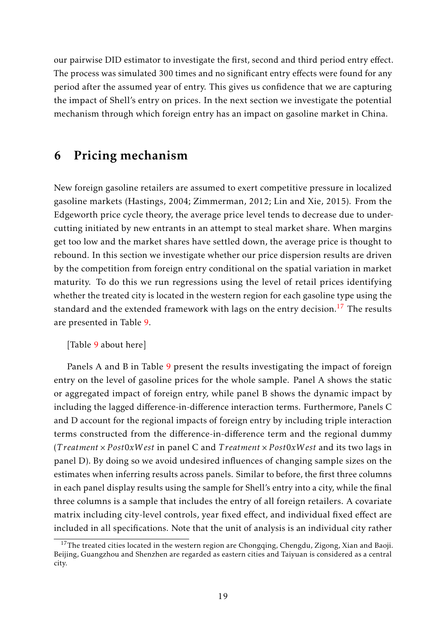our pairwise DID estimator to investigate the first, second and third period entry effect. The process was simulated 300 times and no significant entry effects were found for any period after the assumed year of entry. This gives us confidence that we are capturing the impact of Shell's entry on prices. In the next section we investigate the potential mechanism through which foreign entry has an impact on gasoline market in China.

### <span id="page-19-0"></span>6 Pricing mechanism

New foreign gasoline retailers are assumed to exert competitive pressure in localized gasoline markets [\(Hastings,](#page-33-5) [2004;](#page-33-5) [Zimmerman,](#page-35-1) [2012;](#page-35-1) [Lin and Xie,](#page-33-11) [2015\)](#page-33-11). From the Edgeworth price cycle theory, the average price level tends to decrease due to undercutting initiated by new entrants in an attempt to steal market share. When margins get too low and the market shares have settled down, the average price is thought to rebound. In this section we investigate whether our price dispersion results are driven by the competition from foreign entry conditional on the spatial variation in market maturity. To do this we run regressions using the level of retail prices identifying whether the treated city is located in the western region for each gasoline type using the standard and the extended framework with lags on the entry decision.<sup>[17](#page-19-1)</sup> The results are presented in Table [9.](#page-31-0)

[Table [9](#page-31-0) about here]

Panels A and B in Table [9](#page-31-0) present the results investigating the impact of foreign entry on the level of gasoline prices for the whole sample. Panel A shows the static or aggregated impact of foreign entry, while panel B shows the dynamic impact by including the lagged difference-in-difference interaction terms. Furthermore, Panels C and D account for the regional impacts of foreign entry by including triple interaction terms constructed from the difference-in-difference term and the regional dummy (*T reatment* × *P ost*0*xW est* in panel C and *T reatment* × *P ost*0*xW est* and its two lags in panel D). By doing so we avoid undesired influences of changing sample sizes on the estimates when inferring results across panels. Similar to before, the first three columns in each panel display results using the sample for Shell's entry into a city, while the final three columns is a sample that includes the entry of all foreign retailers. A covariate matrix including city-level controls, year fixed effect, and individual fixed effect are included in all specifications. Note that the unit of analysis is an individual city rather

<span id="page-19-1"></span><sup>&</sup>lt;sup>17</sup>The treated cities located in the western region are Chongqing, Chengdu, Zigong, Xian and Baoji. Beijing, Guangzhou and Shenzhen are regarded as eastern cities and Taiyuan is considered as a central city.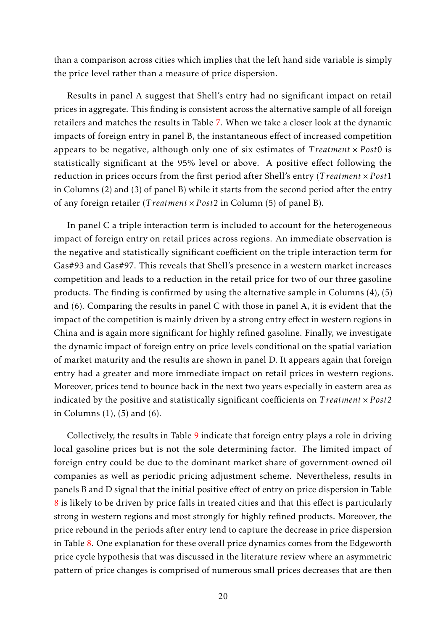than a comparison across cities which implies that the left hand side variable is simply the price level rather than a measure of price dispersion.

Results in panel A suggest that Shell's entry had no significant impact on retail prices in aggregate. This finding is consistent across the alternative sample of all foreign retailers and matches the results in Table [7.](#page-29-1) When we take a closer look at the dynamic impacts of foreign entry in panel B, the instantaneous effect of increased competition appears to be negative, although only one of six estimates of *T reatment* × *P ost*0 is statistically significant at the 95% level or above. A positive effect following the reduction in prices occurs from the first period after Shell's entry (*T reatment* × *P ost*1 in Columns (2) and (3) of panel B) while it starts from the second period after the entry of any foreign retailer (*T reatment* × *P ost*2 in Column (5) of panel B).

In panel C a triple interaction term is included to account for the heterogeneous impact of foreign entry on retail prices across regions. An immediate observation is the negative and statistically significant coefficient on the triple interaction term for Gas#93 and Gas#97. This reveals that Shell's presence in a western market increases competition and leads to a reduction in the retail price for two of our three gasoline products. The finding is confirmed by using the alternative sample in Columns (4), (5) and (6). Comparing the results in panel C with those in panel A, it is evident that the impact of the competition is mainly driven by a strong entry effect in western regions in China and is again more significant for highly refined gasoline. Finally, we investigate the dynamic impact of foreign entry on price levels conditional on the spatial variation of market maturity and the results are shown in panel D. It appears again that foreign entry had a greater and more immediate impact on retail prices in western regions. Moreover, prices tend to bounce back in the next two years especially in eastern area as indicated by the positive and statistically significant coefficients on *T reatment* × *P ost*2 in Columns (1), (5) and (6).

Collectively, the results in Table [9](#page-31-0) indicate that foreign entry plays a role in driving local gasoline prices but is not the sole determining factor. The limited impact of foreign entry could be due to the dominant market share of government-owned oil companies as well as periodic pricing adjustment scheme. Nevertheless, results in panels B and D signal that the initial positive effect of entry on price dispersion in Table [8](#page-30-0) is likely to be driven by price falls in treated cities and that this effect is particularly strong in western regions and most strongly for highly refined products. Moreover, the price rebound in the periods after entry tend to capture the decrease in price dispersion in Table [8.](#page-30-0) One explanation for these overall price dynamics comes from the Edgeworth price cycle hypothesis that was discussed in the literature review where an asymmetric pattern of price changes is comprised of numerous small prices decreases that are then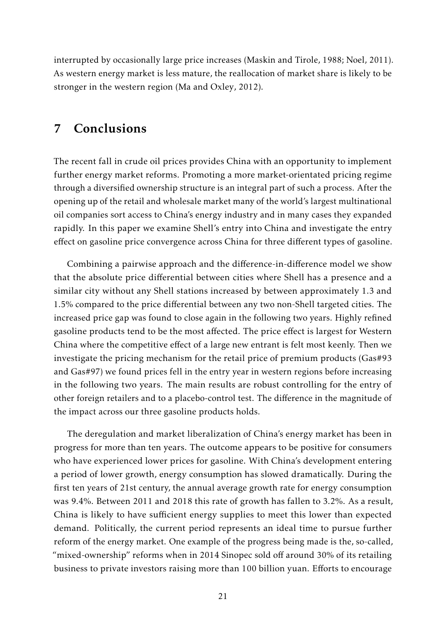interrupted by occasionally large price increases [\(Maskin and Tirole,](#page-34-1) [1988;](#page-34-1) [Noel,](#page-34-10) [2011\)](#page-34-10). As western energy market is less mature, the reallocation of market share is likely to be stronger in the western region [\(Ma and Oxley,](#page-33-9) [2012\)](#page-33-9).

### 7 Conclusions

The recent fall in crude oil prices provides China with an opportunity to implement further energy market reforms. Promoting a more market-orientated pricing regime through a diversified ownership structure is an integral part of such a process. After the opening up of the retail and wholesale market many of the world's largest multinational oil companies sort access to China's energy industry and in many cases they expanded rapidly. In this paper we examine Shell's entry into China and investigate the entry effect on gasoline price convergence across China for three different types of gasoline.

Combining a pairwise approach and the difference-in-difference model we show that the absolute price differential between cities where Shell has a presence and a similar city without any Shell stations increased by between approximately 1.3 and 1.5% compared to the price differential between any two non-Shell targeted cities. The increased price gap was found to close again in the following two years. Highly refined gasoline products tend to be the most affected. The price effect is largest for Western China where the competitive effect of a large new entrant is felt most keenly. Then we investigate the pricing mechanism for the retail price of premium products (Gas#93 and Gas#97) we found prices fell in the entry year in western regions before increasing in the following two years. The main results are robust controlling for the entry of other foreign retailers and to a placebo-control test. The difference in the magnitude of the impact across our three gasoline products holds.

The deregulation and market liberalization of China's energy market has been in progress for more than ten years. The outcome appears to be positive for consumers who have experienced lower prices for gasoline. With China's development entering a period of lower growth, energy consumption has slowed dramatically. During the first ten years of 21st century, the annual average growth rate for energy consumption was 9.4%. Between 2011 and 2018 this rate of growth has fallen to 3.2%. As a result, China is likely to have sufficient energy supplies to meet this lower than expected demand. Politically, the current period represents an ideal time to pursue further reform of the energy market. One example of the progress being made is the, so-called, "mixed-ownership" reforms when in 2014 Sinopec sold off around 30% of its retailing business to private investors raising more than 100 billion yuan. Efforts to encourage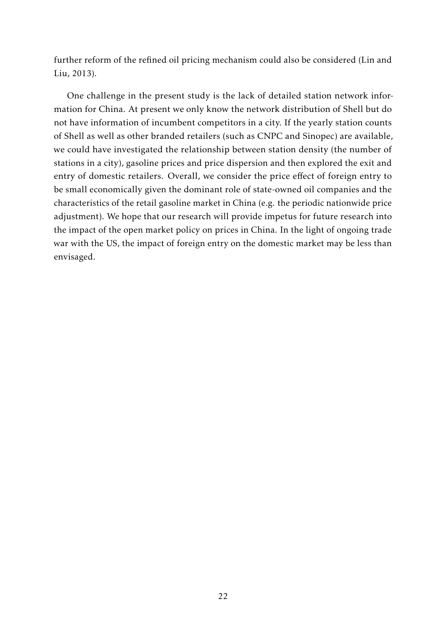further reform of the refined oil pricing mechanism could also be considered [\(Lin and](#page-33-12) [Liu,](#page-33-12) [2013\)](#page-33-12).

One challenge in the present study is the lack of detailed station network information for China. At present we only know the network distribution of Shell but do not have information of incumbent competitors in a city. If the yearly station counts of Shell as well as other branded retailers (such as CNPC and Sinopec) are available, we could have investigated the relationship between station density (the number of stations in a city), gasoline prices and price dispersion and then explored the exit and entry of domestic retailers. Overall, we consider the price effect of foreign entry to be small economically given the dominant role of state-owned oil companies and the characteristics of the retail gasoline market in China (e.g. the periodic nationwide price adjustment). We hope that our research will provide impetus for future research into the impact of the open market policy on prices in China. In the light of ongoing trade war with the US, the impact of foreign entry on the domestic market may be less than envisaged.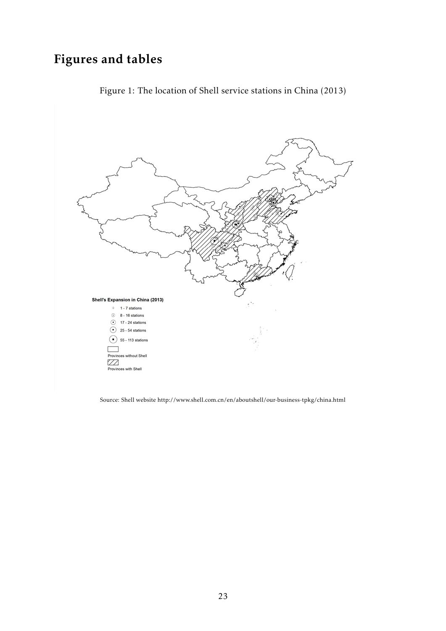# <span id="page-23-0"></span>Figures and tables





Source: Shell website http://www.shell.com.cn/en/aboutshell/our-business-tpkg/china.html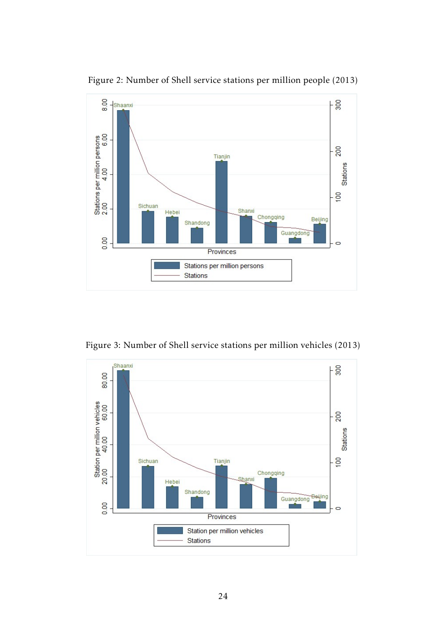<span id="page-24-0"></span>

Figure 2: Number of Shell service stations per million people (2013)

Figure 3: Number of Shell service stations per million vehicles (2013)

<span id="page-24-1"></span>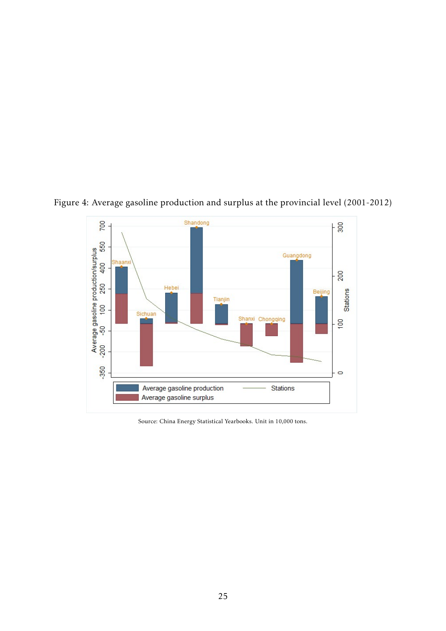

<span id="page-25-0"></span>Figure 4: Average gasoline production and surplus at the provincial level (2001-2012)

Source: China Energy Statistical Yearbooks. Unit in 10,000 tons.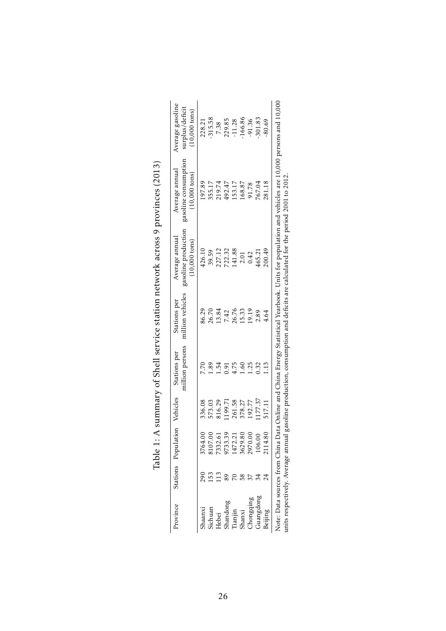<span id="page-26-0"></span>

| Province                           |     | Stations Population | Vehicles | million persons<br>Stations per | million vehicles<br>Stations per | gasoline production<br>Average annual<br>$10,000$ tons)                                   | gasoline consumption<br>Average annual<br>$10,000$ tons)                                                                                         | Average gasoline<br>surplus/deficit<br>$10,000$ tons) |
|------------------------------------|-----|---------------------|----------|---------------------------------|----------------------------------|-------------------------------------------------------------------------------------------|--------------------------------------------------------------------------------------------------------------------------------------------------|-------------------------------------------------------|
| haanxi                             | 290 | 3764.00             | 336.08   | 7.70                            | 86.29                            | 126.10                                                                                    | 197.89                                                                                                                                           | 228.21                                                |
| sichuan                            |     | 3107.00             | 573.03   | .89                             | 26.70                            | 39.59                                                                                     | 355.17                                                                                                                                           | 315.58                                                |
| Hebei                              |     | 7332.61             | 816.29   | 1.54                            | 13.84                            | 227.12                                                                                    | 219.74                                                                                                                                           | 7.38                                                  |
| Shandong                           |     | 9733.39             | 199.71   | 0.91                            | 7.42                             | 722.32                                                                                    | 492.47                                                                                                                                           |                                                       |
| Tianjin                            |     | 472.21              | 261.58   | 4.75                            | 26.76                            | 141.88                                                                                    | 153.17                                                                                                                                           | 229.85                                                |
| <b>Shanxi</b>                      |     | 3629.80             | 378.27   | $\frac{60}{1}$                  | 15.33                            | 2.01                                                                                      | .68.87                                                                                                                                           | 166.86                                                |
| <b>Chongqing</b>                   |     | 2970.00             | 192.77   | <b>1.25</b>                     | 19.19                            | 0.42                                                                                      | 91.78                                                                                                                                            | $-91.36$                                              |
| Guangdong                          |     | 106.00              | 177.37   | 0.32                            | 2.89                             | 465.21                                                                                    | 767.04                                                                                                                                           | $-301.83$                                             |
| Beijing                            |     | 1114.80             | 517.11   | $\frac{3}{2}$                   | 4.64                             | 200.49                                                                                    | 281.18                                                                                                                                           | $-80.69$                                              |
|                                    |     |                     |          |                                 |                                  | gasoline production, consumption and deficits are calculated for the period 2001 to 2012. | Note: Data sources from China Data Online and China Energy Statistical Yearbook. Units for population and vehicles are 10,000 persons and 10,000 |                                                       |
| units respectively. Average annual |     |                     |          |                                 |                                  |                                                                                           |                                                                                                                                                  |                                                       |

| ĺ                                                                                                                                                                                                                                                                                                                         |
|---------------------------------------------------------------------------------------------------------------------------------------------------------------------------------------------------------------------------------------------------------------------------------------------------------------------------|
| ĺ                                                                                                                                                                                                                                                                                                                         |
|                                                                                                                                                                                                                                                                                                                           |
| $\frac{1}{2}$                                                                                                                                                                                                                                                                                                             |
|                                                                                                                                                                                                                                                                                                                           |
|                                                                                                                                                                                                                                                                                                                           |
|                                                                                                                                                                                                                                                                                                                           |
| <br> <br> }<br> }<br>i                                                                                                                                                                                                                                                                                                    |
| contractive Duranter case of Library Contractive Department of Library Contractive Contractive Contractive Contractive Contractive Contractive Contractive Contractive Contractive Contractive Contractive Contractive Contrac<br>ו<br>ו<br>י<br>ו<br>י<br>֖֧ׅׅׅׅ֧֚֚֚֚֚֚֚֚֚֚֚֚֚֚֚֚֚֚֚֚֚֚֚֚֚֡֕֝֡֓֡֡֓֡֓֡֞֡֡֓<br>)<br>)<br>) |
| ĺ                                                                                                                                                                                                                                                                                                                         |
|                                                                                                                                                                                                                                                                                                                           |

26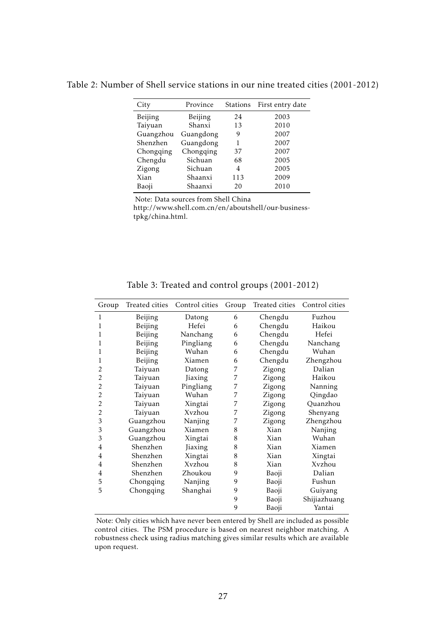Table 2: Number of Shell service stations in our nine treated cities (2001-2012)

<span id="page-27-0"></span>

| City      | Province  | <b>Stations</b> | First entry date |
|-----------|-----------|-----------------|------------------|
| Beijing   | Beijing   | 24              | 2003             |
| Taiyuan   | Shanxi    | 13              | 2010             |
| Guangzhou | Guangdong | 9               | 2007             |
| Shenzhen  | Guangdong | 1               | 2007             |
| Chongqing | Chongqing | 37              | 2007             |
| Chengdu   | Sichuan   | 68              | 2005             |
| Zigong    | Sichuan   | 4               | 2005             |
| Xian      | Shaanxi   | 113             | 2009             |
| Baoji     | Shaanxi   | 20              | 2010             |

Note: Data sources from Shell China

http://www.shell.com.cn/en/aboutshell/our-businesstpkg/china.html.

<span id="page-27-1"></span>

| Treated cities | Control cities | Group | Treated cities | Control cities |
|----------------|----------------|-------|----------------|----------------|
| Beijing        | Datong         | 6     | Chengdu        | Fuzhou         |
| Beijing        | Hefei          | 6     | Chengdu        | Haikou         |
| Beijing        | Nanchang       | 6     | Chengdu        | Hefei          |
| Beijing        | Pingliang      | 6     | Chengdu        | Nanchang       |
| Beijing        | Wuhan          | 6     | Chengdu        | Wuhan          |
| Beijing        | Xiamen         | 6     | Chengdu        | Zhengzhou      |
| Taiyuan        | Datong         | 7     | Zigong         | Dalian         |
| Taiyuan        | Jiaxing        | 7     | Zigong         | Haikou         |
| Taiyuan        | Pingliang      | 7     | Zigong         | Nanning        |
| Taiyuan        | Wuhan          | 7     | Zigong         | Qingdao        |
| Taiyuan        | Xingtai        | 7     | Zigong         | Quanzhou       |
| Taiyuan        | Xvzhou         | 7     | Zigong         | Shenyang       |
| Guangzhou      | Nanjing        | 7     | Zigong         | Zhengzhou      |
| Guangzhou      | Xiamen         | 8     | Xian           | Nanjing        |
| Guangzhou      | Xingtai        | 8     | Xian           | Wuhan          |
| Shenzhen       | Jiaxing        | 8     | Xian           | Xiamen         |
| Shenzhen       | Xingtai        | 8     | Xian           | Xingtai        |
| Shenzhen       | Xvzhou         | 8     | Xian           | Xvzhou         |
| Shenzhen       | Zhoukou        | 9     | Baoji          | Dalian         |
| Chongqing      | Nanjing        | 9     | Baoji          | Fushun         |
| Chongqing      | Shanghai       | 9     | Baoji          | Guiyang        |
|                |                | 9     | Baoji          | Shijiazhuang   |
|                |                | 9     | Baoji          | Yantai         |
|                |                |       |                |                |

Table 3: Treated and control groups (2001-2012)

Note: Only cities which have never been entered by Shell are included as possible control cities. The PSM procedure is based on nearest neighbor matching. A robustness check using radius matching gives similar results which are available upon request.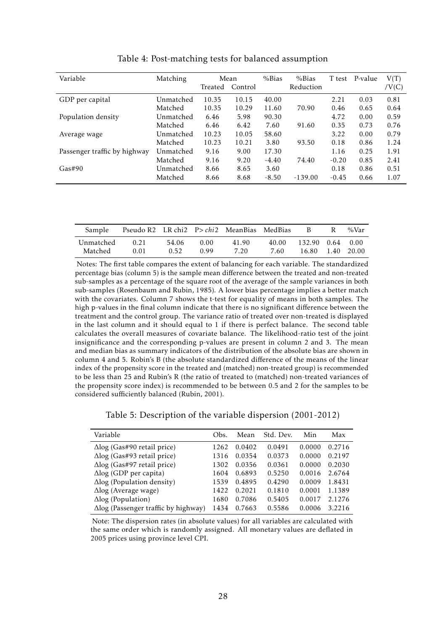<span id="page-28-0"></span>

| Variable                     | Matching  |         | Mean    | % Bias  | % Bias    | T test  | P-value | V(T)  |
|------------------------------|-----------|---------|---------|---------|-----------|---------|---------|-------|
|                              |           | Treated | Control |         | Reduction |         |         | 'V(C) |
| GDP per capital              | Unmatched | 10.35   | 10.15   | 40.00   |           | 2.21    | 0.03    | 0.81  |
|                              | Matched   | 10.35   | 10.29   | 11.60   | 70.90     | 0.46    | 0.65    | 0.64  |
| Population density           | Unmatched | 6.46    | 5.98    | 90.30   |           | 4.72    | 0.00    | 0.59  |
|                              | Matched   | 6.46    | 6.42    | 7.60    | 91.60     | 0.35    | 0.73    | 0.76  |
| Average wage                 | Unmatched | 10.23   | 10.05   | 58.60   |           | 3.22    | 0.00    | 0.79  |
|                              | Matched   | 10.23   | 10.21   | 3.80    | 93.50     | 0.18    | 0.86    | 1.24  |
| Passenger traffic by highway | Unmatched | 9.16    | 9.00    | 17.30   |           | 1.16    | 0.25    | 1.91  |
|                              | Matched   | 9.16    | 9.20    | $-4.40$ | 74.40     | $-0.20$ | 0.85    | 2.41  |
| Gas#90                       | Unmatched | 8.66    | 8.65    | 3.60    |           | 0.18    | 0.86    | 0.51  |
|                              | Matched   | 8.66    | 8.68    | $-8.50$ | $-139.00$ | $-0.45$ | 0.66    | 1.07  |

Table 4: Post-matching tests for balanced assumption

|                      | Sample Pseudo R2 LR chi2 P> chi2 MeanBias MedBias B |               |              |               |      |                                            | $\mathbb{R}$ | $\%$ Var |
|----------------------|-----------------------------------------------------|---------------|--------------|---------------|------|--------------------------------------------|--------------|----------|
| Unmatched<br>Matched | 0.21<br>0.01                                        | 54.06<br>0.52 | 0.00<br>0.99 | 41.90<br>7.20 | 7.60 | 40.00 132.90 0.64 0.00<br>16.80 1.40 20.00 |              |          |

Notes: The first table compares the extent of balancing for each variable. The standardized percentage bias (column 5) is the sample mean difference between the treated and non-treated sub-samples as a percentage of the square root of the average of the sample variances in both sub-samples [\(Rosenbaum and Rubin,](#page-34-11) [1985\)](#page-34-11). A lower bias percentage implies a better match with the covariates. Column 7 shows the t-test for equality of means in both samples. The high p-values in the final column indicate that there is no significant difference between the treatment and the control group. The variance ratio of treated over non-treated is displayed in the last column and it should equal to 1 if there is perfect balance. The second table calculates the overall measures of covariate balance. The likelihood-ratio test of the joint insignificance and the corresponding p-values are present in column 2 and 3. The mean and median bias as summary indicators of the distribution of the absolute bias are shown in column 4 and 5. Robin's B (the absolute standardized difference of the means of the linear index of the propensity score in the treated and (matched) non-treated group) is recommended to be less than 25 and Rubin's R (the ratio of treated to (matched) non-treated variances of the propensity score index) is recommended to be between 0.5 and 2 for the samples to be considered sufficiently balanced [\(Rubin,](#page-34-12) [2001\)](#page-34-12).

Table 5: Description of the variable dispersion (2001-2012)

<span id="page-28-1"></span>

| Variable                                    | Obs. | Mean   | Std. Dev. | Min    | Max    |
|---------------------------------------------|------|--------|-----------|--------|--------|
| $\Delta$ log (Gas#90 retail price)          | 1262 | 0.0402 | 0.0491    | 0.0000 | 0.2716 |
| $\Delta$ log (Gas#93 retail price)          | 1316 | 0.0354 | 0.0373    | 0.0000 | 0.2197 |
| $\Delta$ log (Gas#97 retail price)          | 1302 | 0.0356 | 0.0361    | 0.0000 | 0.2030 |
| $\Delta$ log (GDP per capita)               | 1604 | 0.6893 | 0.5250    | 0.0016 | 2.6764 |
| $\Delta$ log (Population density)           | 1539 | 0.4895 | 0.4290    | 0.0009 | 1.8431 |
| $\Delta$ log (Average wage)                 | 1422 | 0.2021 | 0.1810    | 0.0001 | 1.1389 |
| $\Delta$ log (Population)                   | 1680 | 0.7086 | 0.5405    | 0.0017 | 2.1276 |
| $\Delta$ log (Passenger traffic by highway) | 1434 | 0.7663 | 0.5586    | 0.0006 | 3.2216 |

Note: The dispersion rates (in absolute values) for all variables are calculated with the same order which is randomly assigned. All monetary values are deflated in 2005 prices using province level CPI.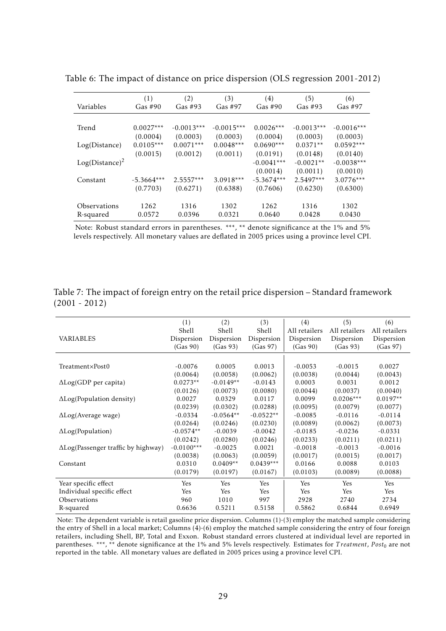<span id="page-29-0"></span>

|                   | (1)          | (2)          | (3)          | (4)          | (5)          | (6)          |
|-------------------|--------------|--------------|--------------|--------------|--------------|--------------|
| Variables         | Gas $#90$    | Gas $#93$    | Gas $#97$    | Gas $#90$    | Gas $#93$    | Gas $#97$    |
|                   |              |              |              |              |              |              |
| Trend             | $0.0027***$  | $-0.0013***$ | $-0.0015***$ | $0.0026***$  | $-0.0013***$ | $-0.0016***$ |
|                   | (0.0004)     | (0.0003)     | (0.0003)     | (0.0004)     | (0.0003)     | (0.0003)     |
| Log(Distance)     | $0.0105***$  | $0.0071***$  | $0.0048***$  | $0.0690***$  | $0.0371**$   | $0.0592***$  |
|                   | (0.0015)     | (0.0012)     | (0.0011)     | (0.0191)     | (0.0148)     | (0.0140)     |
| $Log(Distance)^2$ |              |              |              | $-0.0041***$ | $-0.0021**$  | $-0.0038***$ |
|                   |              |              |              | (0.0014)     | (0.0011)     | (0.0010)     |
| Constant          | $-5.3664***$ | $2.5557***$  | $3.0918***$  | $-5.3674***$ | $2.5497***$  | $3.0776***$  |
|                   | (0.7703)     | (0.6271)     | (0.6388)     | (0.7606)     | (0.6230)     | (0.6300)     |
|                   |              |              |              |              |              |              |
| Observations      | 1262         | 1316         | 1302         | 1262         | 1316         | 1302         |
| R-squared         | 0.0572       | 0.0396       | 0.0321       | 0.0640       | 0.0428       | 0.0430       |

Table 6: The impact of distance on price dispersion (OLS regression 2001-2012)

Note: Robust standard errors in parentheses. \*\*\*, \*\* denote significance at the 1% and 5% levels respectively. All monetary values are deflated in 2005 prices using a province level CPI.

| Table 7: The impact of foreign entry on the retail price dispersion – Standard framework |  |  |  |  |
|------------------------------------------------------------------------------------------|--|--|--|--|
| $(2001 - 2012)$                                                                          |  |  |  |  |

<span id="page-29-1"></span>

|                                    | (1)          | (2)         | (3)         | (4)           | (5)           | (6)           |
|------------------------------------|--------------|-------------|-------------|---------------|---------------|---------------|
|                                    | Shell        | Shell       | Shell       | All retailers | All retailers | All retailers |
| <b>VARIABLES</b>                   | Dispersion   | Dispersion  | Dispersion  | Dispersion    | Dispersion    | Dispersion    |
|                                    | (Gas 90)     | (Gas 93)    | (Gas 97)    | (Gas 90)      | (Gas 93)      | (Gas 97)      |
|                                    |              |             |             |               |               |               |
| Treatment×Post0                    | $-0.0076$    | 0.0005      | 0.0013      | $-0.0053$     | $-0.0015$     | 0.0027        |
|                                    | (0.0064)     | (0.0058)    | (0.0062)    | (0.0038)      | (0.0044)      | (0.0043)      |
| $\Delta$ Log(GDP per capita)       | $0.0273**$   | $-0.0149**$ | $-0.0143$   | 0.0003        | 0.0031        | 0.0012        |
|                                    | (0.0126)     | (0.0073)    | (0.0080)    | (0.0044)      | (0.0037)      | (0.0040)      |
| $\Delta$ Log(Population density)   | 0.0027       | 0.0329      | 0.0117      | 0.0099        | $0.0206***$   | $0.0197**$    |
|                                    | (0.0239)     | (0.0302)    | (0.0288)    | (0.0095)      | (0.0079)      | (0.0077)      |
| $\Delta$ Log(Average wage)         | $-0.0334$    | $-0.0564**$ | $-0.0522**$ | $-0.0085$     | $-0.0116$     | $-0.0114$     |
|                                    | (0.0264)     | (0.0246)    | (0.0230)    | (0.0089)      | (0.0062)      | (0.0073)      |
| $\Delta$ Log(Population)           | $-0.0574**$  | $-0.0039$   | $-0.0042$   | $-0.0185$     | $-0.0236$     | $-0.0331$     |
|                                    | (0.0242)     | (0.0280)    | (0.0246)    | (0.0233)      | (0.0211)      | (0.0211)      |
| ΔLog(Passenger traffic by highway) | $-0.0100***$ | $-0.0025$   | 0.0021      | $-0.0018$     | $-0.0013$     | $-0.0016$     |
|                                    | (0.0038)     | (0.0063)    | (0.0059)    | (0.0017)      | (0.0015)      | (0.0017)      |
| Constant                           | 0.0310       | $0.0409**$  | $0.0439***$ | 0.0166        | 0.0088        | 0.0103        |
|                                    | (0.0179)     | (0.0197)    | (0.0167)    | (0.0103)      | (0.0089)      | (0.0088)      |
| Year specific effect               | Yes          | Yes         | Yes         | Yes           | Yes           | <b>Yes</b>    |
| Individual specific effect         | Yes          | Yes         | Yes         | Yes           | Yes           | Yes           |
| Observations                       | 960          | 1010        | 997         | 2928          | 2740          | 2734          |
| R-squared                          | 0.6636       | 0.5211      | 0.5158      | 0.5862        | 0.6844        | 0.6949        |

Note: The dependent variable is retail gasoline price dispersion. Columns (1)-(3) employ the matched sample considering the entry of Shell in a local market; Columns (4)-(6) employ the matched sample considering the entry of four foreign retailers, including Shell, BP, Total and Exxon. Robust standard errors clustered at individual level are reported in parentheses. \*\*\*, \*\* denote significance at the 1% and 5% levels respectively. Estimates for *Treatment*, *Post*<sub>0</sub> are not reported in the table. All monetary values are deflated in 2005 prices using a province level CPI.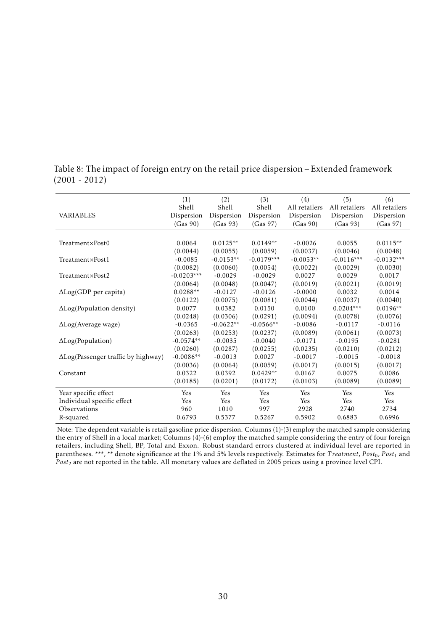<span id="page-30-0"></span>

|                                    | (1)          | (2)         | (3)          | (4)           | (5)           | (6)           |
|------------------------------------|--------------|-------------|--------------|---------------|---------------|---------------|
|                                    | Shell        | Shell       | Shell        | All retailers | All retailers | All retailers |
| <b>VARIABLES</b>                   | Dispersion   | Dispersion  | Dispersion   | Dispersion    | Dispersion    | Dispersion    |
|                                    | (Gas 90)     | (Gas 93)    | (Gas 97)     | (Gas 90)      | (Gas 93)      | (Gas 97)      |
|                                    |              |             |              |               |               |               |
| Treatment×Post0                    | 0.0064       | $0.0125**$  | $0.0149**$   | $-0.0026$     | 0.0055        | $0.0115**$    |
|                                    | (0.0044)     | (0.0055)    | (0.0059)     | (0.0037)      | (0.0046)      | (0.0048)      |
| Treatment×Post1                    | $-0.0085$    | $-0.0153**$ | $-0.0179***$ | $-0.0053**$   | $-0.0116***$  | $-0.0132***$  |
|                                    | (0.0082)     | (0.0060)    | (0.0054)     | (0.0022)      | (0.0029)      | (0.0030)      |
| Treatment×Post2                    | $-0.0203***$ | $-0.0029$   | $-0.0029$    | 0.0027        | 0.0029        | 0.0017        |
|                                    | (0.0064)     | (0.0048)    | (0.0047)     | (0.0019)      | (0.0021)      | (0.0019)      |
| $\Delta$ Log(GDP per capita)       | $0.0288**$   | $-0.0127$   | $-0.0126$    | $-0.0000$     | 0.0032        | 0.0014        |
|                                    | (0.0122)     | (0.0075)    | (0.0081)     | (0.0044)      | (0.0037)      | (0.0040)      |
| $\Delta$ Log(Population density)   | 0.0077       | 0.0382      | 0.0150       | 0.0100        | $0.0204***$   | $0.0196**$    |
|                                    | (0.0248)     | (0.0306)    | (0.0291)     | (0.0094)      | (0.0078)      | (0.0076)      |
| $\Delta$ Log(Average wage)         | $-0.0365$    | $-0.0622**$ | $-0.0566**$  | $-0.0086$     | $-0.0117$     | $-0.0116$     |
|                                    | (0.0263)     | (0.0253)    | (0.0237)     | (0.0089)      | (0.0061)      | (0.0073)      |
| $\Delta$ Log(Population)           | $-0.0574**$  | $-0.0035$   | $-0.0040$    | $-0.0171$     | $-0.0195$     | $-0.0281$     |
|                                    | (0.0260)     | (0.0287)    | (0.0255)     | (0.0235)      | (0.0210)      | (0.0212)      |
| ΔLog(Passenger traffic by highway) | $-0.0086**$  | $-0.0013$   | 0.0027       | $-0.0017$     | $-0.0015$     | $-0.0018$     |
|                                    | (0.0036)     | (0.0064)    | (0.0059)     | (0.0017)      | (0.0015)      | (0.0017)      |
| Constant                           | 0.0322       | 0.0392      | $0.0429**$   | 0.0167        | 0.0075        | 0.0086        |
|                                    | (0.0185)     | (0.0201)    | (0.0172)     | (0.0103)      | (0.0089)      | (0.0089)      |
| Year specific effect               | Yes          | Yes         | Yes          | Yes           | Yes           | Yes           |
| Individual specific effect         | Yes          | Yes         | Yes          | Yes           | Yes           | Yes           |
| Observations                       | 960          | 1010        | 997          | 2928          | 2740          | 2734          |
| R-squared                          | 0.6793       | 0.5377      | 0.5267       | 0.5902        | 0.6883        | 0.6996        |

Table 8: The impact of foreign entry on the retail price dispersion – Extended framework (2001 - 2012)

Note: The dependent variable is retail gasoline price dispersion. Columns (1)-(3) employ the matched sample considering the entry of Shell in a local market; Columns (4)-(6) employ the matched sample considering the entry of four foreign retailers, including Shell, BP, Total and Exxon. Robust standard errors clustered at individual level are reported in parentheses. \*\*\*, \*\* denote significance at the 1% and 5% levels respectively. Estimates for *Treatment*, *Post*<sub>0</sub>, *Post*<sub>1</sub> and *P ost*<sup>2</sup> are not reported in the table. All monetary values are deflated in 2005 prices using a province level CPI.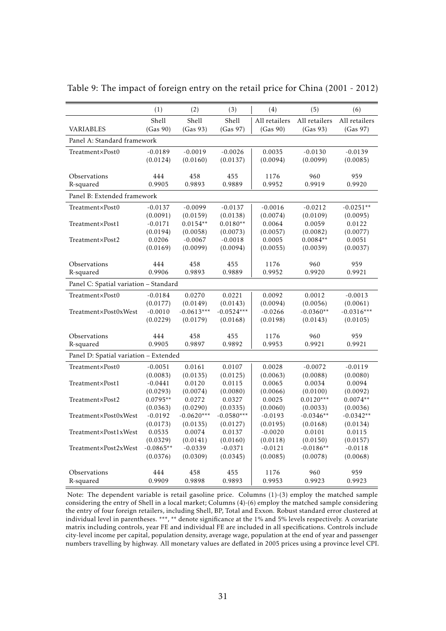<span id="page-31-0"></span>

|                                       | (1)                | (2)                | (3)                | (4)                   | (5)                | (6)                |
|---------------------------------------|--------------------|--------------------|--------------------|-----------------------|--------------------|--------------------|
|                                       | Shell              | Shell              | Shell              | All retailers         | All retailers      | All retailers      |
| <b>VARIABLES</b>                      | (Gas 90)           | (Gas 93)           | (Gas 97)           | (Gas 90)              | (Gas 93)           | (Gas 97)           |
| Panel A: Standard framework           |                    |                    |                    |                       |                    |                    |
| Treatment×Post0                       | $-0.0189$          | $-0.0019$          | $-0.0026$          | 0.0035                | $-0.0130$          | $-0.0139$          |
|                                       | (0.0124)           | (0.0160)           | (0.0137)           | (0.0094)              | (0.0099)           | (0.0085)           |
| Observations                          | 444                | 458                | 455                | 1176                  | 960                | 959                |
| R-squared                             | 0.9905             | 0.9893             | 0.9889             | 0.9952                | 0.9919             | 0.9920             |
| Panel B: Extended framework           |                    |                    |                    |                       |                    |                    |
| Treatment×Post0                       | $-0.0137$          | $-0.0099$          | $-0.0137$          | $-0.0016$             | $-0.0212$          | $-0.0251**$        |
|                                       | (0.0091)           | (0.0159)           | (0.0138)           | (0.0074)              | (0.0109)           | (0.0095)           |
| Treatment×Post1                       | $-0.0171$          | $0.0154**$         | $0.0180**$         | 0.0064                | 0.0059             | 0.0122             |
|                                       | (0.0194)           | (0.0058)           | (0.0073)           | (0.0057)              | (0.0082)           | (0.0077)           |
| Treatment×Post2                       | 0.0206             | $-0.0067$          | $-0.0018$          | 0.0005                | $0.0084**$         | 0.0051             |
|                                       | (0.0169)           | (0.0099)           | (0.0094)           | (0.0055)              | (0.0039)           | (0.0037)           |
| Observations                          | 444                | 458                | 455                | 1176                  | 960                | 959                |
| R-squared                             | 0.9906             | 0.9893             | 0.9889             | 0.9952                | 0.9920             | 0.9921             |
| Panel C: Spatial variation - Standard |                    |                    |                    |                       |                    |                    |
| Treatment×Post0                       | $-0.0184$          | 0.0270             | 0.0221             | 0.0092                | 0.0012             | $-0.0013$          |
|                                       | (0.0177)           | (0.0149)           | (0.0143)           | (0.0094)              | (0.0056)           | (0.0061)           |
| Treatment×Post0xWest                  | $-0.0010$          | $-0.0613***$       | $-0.0524***$       | $-0.0266$             | $-0.0360**$        | $-0.0316***$       |
|                                       | (0.0229)           | (0.0179)           | (0.0168)           | (0.0198)              | (0.0143)           | (0.0105)           |
| Observations                          | 444                | 458                | 455                | 1176                  | 960                | 959                |
| R-squared                             | 0.9905             | 0.9897             | 0.9892             | 0.9953                | 0.9921             | 0.9921             |
| Panel D: Spatial variation - Extended |                    |                    |                    |                       |                    |                    |
| Treatment×Post0                       | $-0.0051$          | 0.0161             | 0.0107             | 0.0028                | $-0.0072$          | $-0.0119$          |
|                                       | (0.0083)           | (0.0135)           | (0.0125)           | (0.0063)              | (0.0088)           | (0.0080)           |
| Treatment×Post1                       | $-0.0441$          | 0.0120             | 0.0115             | 0.0065                | 0.0034             | 0.0094             |
|                                       | (0.0293)           | (0.0074)           | (0.0080)           | (0.0066)              | (0.0100)           | (0.0092)           |
| Treatment×Post2                       | $0.0795**$         | 0.0272             | 0.0327             | 0.0025                | $0.0120***$        | $0.0074**$         |
|                                       | (0.0363)           | (0.0290)           | (0.0335)           | (0.0060)              | (0.0033)           | (0.0036)           |
| Treatment×Post0xWest                  | $-0.0192$          | $-0.0620***$       | $-0.0580***$       | $-0.0193$             | $-0.0346**$        | $-0.0342**$        |
| Treatment×Post1xWest                  | (0.0173)           | (0.0135)<br>0.0074 | (0.0127)           | (0.0195)<br>$-0.0020$ | (0.0168)<br>0.0101 | (0.0134)           |
|                                       | 0.0535<br>(0.0329) | (0.0141)           | 0.0137<br>(0.0160) | (0.0118)              | (0.0150)           | 0.0115<br>(0.0157) |
| Treatment×Post2xWest                  | $-0.0865**$        | $-0.0339$          | $-0.0371$          | $-0.0121$             | $-0.0186**$        | $-0.0118$          |
|                                       | (0.0376)           | (0.0309)           | (0.0345)           | (0.0085)              | (0.0078)           | (0.0068)           |
|                                       |                    |                    |                    |                       |                    |                    |
| Observations                          | 444                | 458                | 455                | 1176                  | 960                | 959                |
| R-squared                             | 0.9909             | 0.9898             | 0.9893             | 0.9953                | 0.9923             | 0.9923             |

Table 9: The impact of foreign entry on the retail price for China (2001 - 2012)

Note: The dependent variable is retail gasoline price. Columns (1)-(3) employ the matched sample considering the entry of Shell in a local market; Columns (4)-(6) employ the matched sample considering the entry of four foreign retailers, including Shell, BP, Total and Exxon. Robust standard error clustered at individual level in parentheses. \*\*\*, \*\* denote significance at the 1% and 5% levels respectively. A covariate matrix including controls, year FE and individual FE are included in all specifications. Controls include city-level income per capital, population density, average wage, population at the end of year and passenger numbers travelling by highway. All monetary values are deflated in 2005 prices using a province level CPI.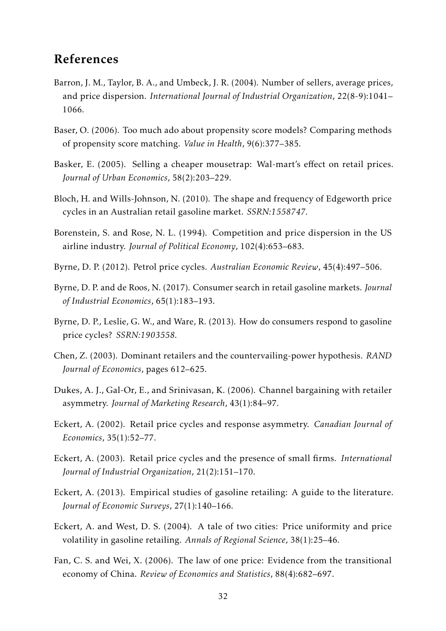### References

- <span id="page-32-5"></span>Barron, J. M., Taylor, B. A., and Umbeck, J. R. (2004). Number of sellers, average prices, and price dispersion. *International Journal of Industrial Organization*, 22(8-9):1041– 1066.
- <span id="page-32-13"></span>Baser, O. (2006). Too much ado about propensity score models? Comparing methods of propensity score matching. *Value in Health*, 9(6):377–385.
- <span id="page-32-0"></span>Basker, E. (2005). Selling a cheaper mousetrap: Wal-mart's effect on retail prices. *Journal of Urban Economics*, 58(2):203–229.
- <span id="page-32-9"></span>Bloch, H. and Wills-Johnson, N. (2010). The shape and frequency of Edgeworth price cycles in an Australian retail gasoline market. *SSRN:1558747*.
- <span id="page-32-1"></span>Borenstein, S. and Rose, N. L. (1994). Competition and price dispersion in the US airline industry. *Journal of Political Economy*, 102(4):653–683.
- <span id="page-32-10"></span>Byrne, D. P. (2012). Petrol price cycles. *Australian Economic Review*, 45(4):497–506.
- <span id="page-32-8"></span>Byrne, D. P. and de Roos, N. (2017). Consumer search in retail gasoline markets. *Journal of Industrial Economics*, 65(1):183–193.
- <span id="page-32-11"></span>Byrne, D. P., Leslie, G. W., and Ware, R. (2013). How do consumers respond to gasoline price cycles? *SSRN:1903558*.
- <span id="page-32-2"></span>Chen, Z. (2003). Dominant retailers and the countervailing-power hypothesis. *RAND Journal of Economics*, pages 612–625.
- <span id="page-32-3"></span>Dukes, A. J., Gal-Or, E., and Srinivasan, K. (2006). Channel bargaining with retailer asymmetry. *Journal of Marketing Research*, 43(1):84–97.
- <span id="page-32-6"></span>Eckert, A. (2002). Retail price cycles and response asymmetry. *Canadian Journal of Economics*, 35(1):52–77.
- <span id="page-32-7"></span>Eckert, A. (2003). Retail price cycles and the presence of small firms. *International Journal of Industrial Organization*, 21(2):151–170.
- <span id="page-32-12"></span>Eckert, A. (2013). Empirical studies of gasoline retailing: A guide to the literature. *Journal of Economic Surveys*, 27(1):140–166.
- <span id="page-32-4"></span>Eckert, A. and West, D. S. (2004). A tale of two cities: Price uniformity and price volatility in gasoline retailing. *Annals of Regional Science*, 38(1):25–46.
- <span id="page-32-14"></span>Fan, C. S. and Wei, X. (2006). The law of one price: Evidence from the transitional economy of China. *Review of Economics and Statistics*, 88(4):682–697.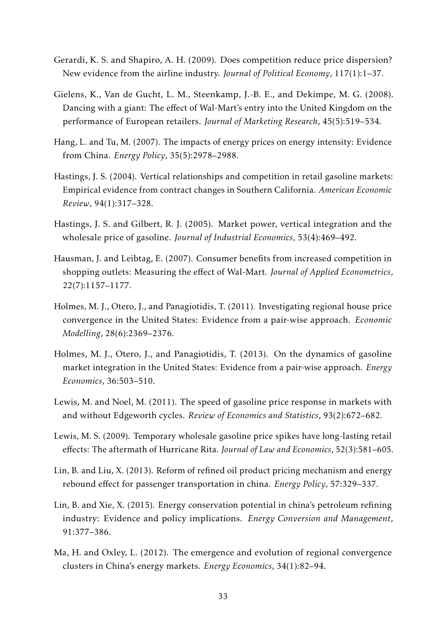- <span id="page-33-2"></span>Gerardi, K. S. and Shapiro, A. H. (2009). Does competition reduce price dispersion? New evidence from the airline industry. *Journal of Political Economy*, 117(1):1–37.
- <span id="page-33-4"></span>Gielens, K., Van de Gucht, L. M., Steenkamp, J.-B. E., and Dekimpe, M. G. (2008). Dancing with a giant: The effect of Wal-Mart's entry into the United Kingdom on the performance of European retailers. *Journal of Marketing Research*, 45(5):519–534.
- <span id="page-33-10"></span>Hang, L. and Tu, M. (2007). The impacts of energy prices on energy intensity: Evidence from China. *Energy Policy*, 35(5):2978–2988.
- <span id="page-33-5"></span>Hastings, J. S. (2004). Vertical relationships and competition in retail gasoline markets: Empirical evidence from contract changes in Southern California. *American Economic Review*, 94(1):317–328.
- <span id="page-33-6"></span>Hastings, J. S. and Gilbert, R. J. (2005). Market power, vertical integration and the wholesale price of gasoline. *Journal of Industrial Economics*, 53(4):469–492.
- <span id="page-33-3"></span>Hausman, J. and Leibtag, E. (2007). Consumer benefits from increased competition in shopping outlets: Measuring the effect of Wal-Mart. *Journal of Applied Econometrics*, 22(7):1157–1177.
- <span id="page-33-1"></span>Holmes, M. J., Otero, J., and Panagiotidis, T. (2011). Investigating regional house price convergence in the United States: Evidence from a pair-wise approach. *Economic Modelling*, 28(6):2369–2376.
- <span id="page-33-0"></span>Holmes, M. J., Otero, J., and Panagiotidis, T. (2013). On the dynamics of gasoline market integration in the United States: Evidence from a pair-wise approach. *Energy Economics*, 36:503–510.
- <span id="page-33-8"></span>Lewis, M. and Noel, M. (2011). The speed of gasoline price response in markets with and without Edgeworth cycles. *Review of Economics and Statistics*, 93(2):672–682.
- <span id="page-33-7"></span>Lewis, M. S. (2009). Temporary wholesale gasoline price spikes have long-lasting retail effects: The aftermath of Hurricane Rita. *Journal of Law and Economics*, 52(3):581–605.
- <span id="page-33-12"></span>Lin, B. and Liu, X. (2013). Reform of refined oil product pricing mechanism and energy rebound effect for passenger transportation in china. *Energy Policy*, 57:329–337.
- <span id="page-33-11"></span>Lin, B. and Xie, X. (2015). Energy conservation potential in china's petroleum refining industry: Evidence and policy implications. *Energy Conversion and Management*, 91:377–386.
- <span id="page-33-9"></span>Ma, H. and Oxley, L. (2012). The emergence and evolution of regional convergence clusters in China's energy markets. *Energy Economics*, 34(1):82–94.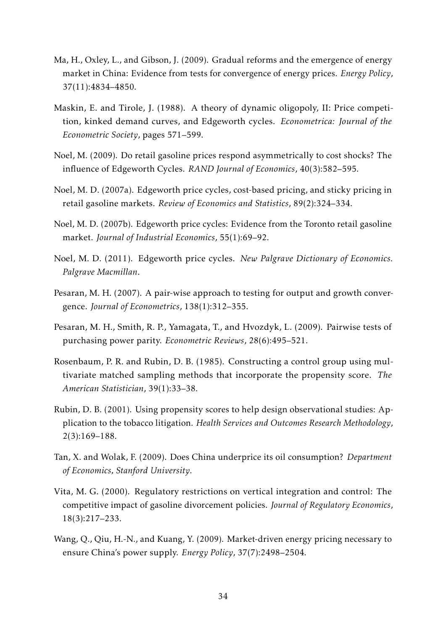- <span id="page-34-5"></span>Ma, H., Oxley, L., and Gibson, J. (2009). Gradual reforms and the emergence of energy market in China: Evidence from tests for convergence of energy prices. *Energy Policy*, 37(11):4834–4850.
- <span id="page-34-1"></span>Maskin, E. and Tirole, J. (1988). A theory of dynamic oligopoly, II: Price competition, kinked demand curves, and Edgeworth cycles. *Econometrica: Journal of the Econometric Society*, pages 571–599.
- <span id="page-34-4"></span>Noel, M. (2009). Do retail gasoline prices respond asymmetrically to cost shocks? The influence of Edgeworth Cycles. *RAND Journal of Economics*, 40(3):582–595.
- <span id="page-34-2"></span>Noel, M. D. (2007a). Edgeworth price cycles, cost-based pricing, and sticky pricing in retail gasoline markets. *Review of Economics and Statistics*, 89(2):324–334.
- <span id="page-34-3"></span>Noel, M. D. (2007b). Edgeworth price cycles: Evidence from the Toronto retail gasoline market. *Journal of Industrial Economics*, 55(1):69–92.
- <span id="page-34-10"></span>Noel, M. D. (2011). Edgeworth price cycles. *New Palgrave Dictionary of Economics. Palgrave Macmillan*.
- <span id="page-34-8"></span>Pesaran, M. H. (2007). A pair-wise approach to testing for output and growth convergence. *Journal of Econometrics*, 138(1):312–355.
- <span id="page-34-0"></span>Pesaran, M. H., Smith, R. P., Yamagata, T., and Hvozdyk, L. (2009). Pairwise tests of purchasing power parity. *Econometric Reviews*, 28(6):495–521.
- <span id="page-34-11"></span>Rosenbaum, P. R. and Rubin, D. B. (1985). Constructing a control group using multivariate matched sampling methods that incorporate the propensity score. *The American Statistician*, 39(1):33–38.
- <span id="page-34-12"></span>Rubin, D. B. (2001). Using propensity scores to help design observational studies: Application to the tobacco litigation. *Health Services and Outcomes Research Methodology*, 2(3):169–188.
- <span id="page-34-6"></span>Tan, X. and Wolak, F. (2009). Does China underprice its oil consumption? *Department of Economics, Stanford University*.
- <span id="page-34-9"></span>Vita, M. G. (2000). Regulatory restrictions on vertical integration and control: The competitive impact of gasoline divorcement policies. *Journal of Regulatory Economics*, 18(3):217–233.
- <span id="page-34-7"></span>Wang, Q., Qiu, H.-N., and Kuang, Y. (2009). Market-driven energy pricing necessary to ensure China's power supply. *Energy Policy*, 37(7):2498–2504.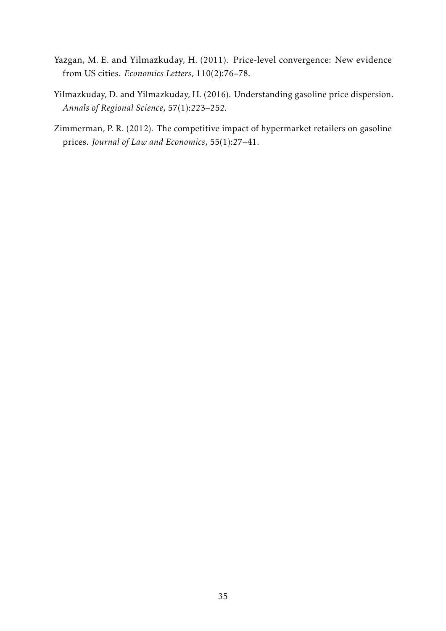- <span id="page-35-0"></span>Yazgan, M. E. and Yilmazkuday, H. (2011). Price-level convergence: New evidence from US cities. *Economics Letters*, 110(2):76–78.
- <span id="page-35-2"></span>Yilmazkuday, D. and Yilmazkuday, H. (2016). Understanding gasoline price dispersion. *Annals of Regional Science*, 57(1):223–252.
- <span id="page-35-1"></span>Zimmerman, P. R. (2012). The competitive impact of hypermarket retailers on gasoline prices. *Journal of Law and Economics*, 55(1):27–41.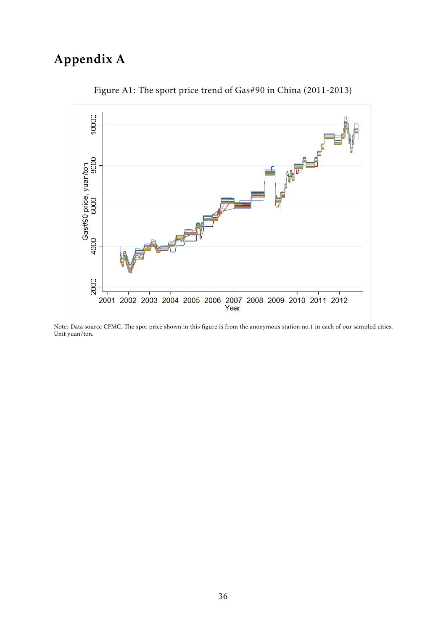## Appendix A

<span id="page-36-0"></span>

Figure A1: The sport price trend of Gas#90 in China (2011-2013)

Note: Data source CPMC. The spot price shown in this figure is from the anonymous station no.1 in each of our sampled cities. Unit yuan/ton.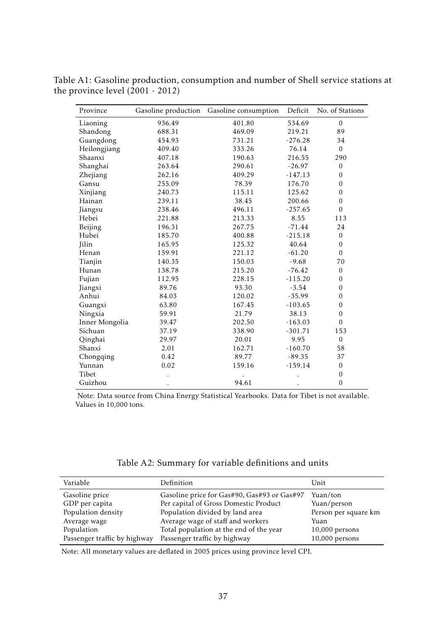<span id="page-37-0"></span>

| Province       | Gasoline production | Gasoline consumption | Deficit   | No. of Stations  |
|----------------|---------------------|----------------------|-----------|------------------|
| Liaoning       | 936.49              | 401.80               | 534.69    | $\boldsymbol{0}$ |
| Shandong       | 688.31              | 469.09               | 219.21    | 89               |
| Guangdong      | 454.93              | 731.21               | $-276.28$ | 34               |
| Heilongjiang   | 409.40              | 333.26               | 76.14     | $\boldsymbol{0}$ |
| Shaanxi        | 407.18              | 190.63               | 216.55    | 290              |
| Shanghai       | 263.64              | 290.61               | $-26.97$  | $\boldsymbol{0}$ |
| Zhejiang       | 262.16              | 409.29               | $-147.13$ | $\boldsymbol{0}$ |
| Gansu          | 255.09              | 78.39                | 176.70    | $\boldsymbol{0}$ |
| Xinjiang       | 240.73              | 115.11               | 125.62    | $\boldsymbol{0}$ |
| Hainan         | 239.11              | 38.45                | 200.66    | $\boldsymbol{0}$ |
| Jiangsu        | 238.46              | 496.11               | $-257.65$ | $\boldsymbol{0}$ |
| Hebei          | 221.88              | 213.33               | 8.55      | 113              |
| Beijing        | 196.31              | 267.75               | $-71.44$  | 24               |
| Hubei          | 185.70              | 400.88               | $-215.18$ | $\boldsymbol{0}$ |
| Jilin          | 165.95              | 125.32               | 40.64     | $\boldsymbol{0}$ |
| Henan          | 159.91              | 221.12               | $-61.20$  | $\mathbf{0}$     |
| Tianjin        | 140.35              | 150.03               | $-9.68$   | 70               |
| Hunan          | 138.78              | 215.20               | $-76.42$  | $\boldsymbol{0}$ |
| Fujian         | 112.95              | 228.15               | $-115.20$ | $\boldsymbol{0}$ |
| Jiangxi        | 89.76               | 93.30                | $-3.54$   | $\boldsymbol{0}$ |
| Anhui          | 84.03               | 120.02               | $-35.99$  | $\boldsymbol{0}$ |
| Guangxi        | 63.80               | 167.45               | $-103.65$ | $\boldsymbol{0}$ |
| Ningxia        | 59.91               | 21.79                | 38.13     | $\boldsymbol{0}$ |
| Inner Mongolia | 39.47               | 202.50               | $-163.03$ | $\boldsymbol{0}$ |
| Sichuan        | 37.19               | 338.90               | $-301.71$ | 153              |
| Qinghai        | 29.97               | 20.01                | 9.95      | $\boldsymbol{0}$ |
| Shanxi         | 2.01                | 162.71               | $-160.70$ | 58               |
| Chongqing      | 0.42                | 89.77                | $-89.35$  | 37               |
| Yunnan         | 0.02                | 159.16               | $-159.14$ | $\boldsymbol{0}$ |
| Tibet          |                     |                      |           | $\boldsymbol{0}$ |
| Guizhou        |                     | 94.61                |           | $\boldsymbol{0}$ |

Table A1: Gasoline production, consumption and number of Shell service stations at the province level (2001 - 2012)

Note: Data source from China Energy Statistical Yearbooks. Data for Tibet is not available. Values in 10,000 tons.

<span id="page-37-1"></span>

| Variable                     | Definition                                  | Unit                 |
|------------------------------|---------------------------------------------|----------------------|
| Gasoline price               | Gasoline price for Gas#90, Gas#93 or Gas#97 | Yuan/ton             |
| GDP per capita               | Per capital of Gross Domestic Product       | Yuan/person          |
| Population density           | Population divided by land area             | Person per square km |
| Average wage                 | Average wage of staff and workers           | Yuan                 |
| Population                   | Total population at the end of the year     | $10,000$ persons     |
| Passenger traffic by highway | Passenger traffic by highway                | $10,000$ persons     |

Note: All monetary values are deflated in 2005 prices using province level CPI.